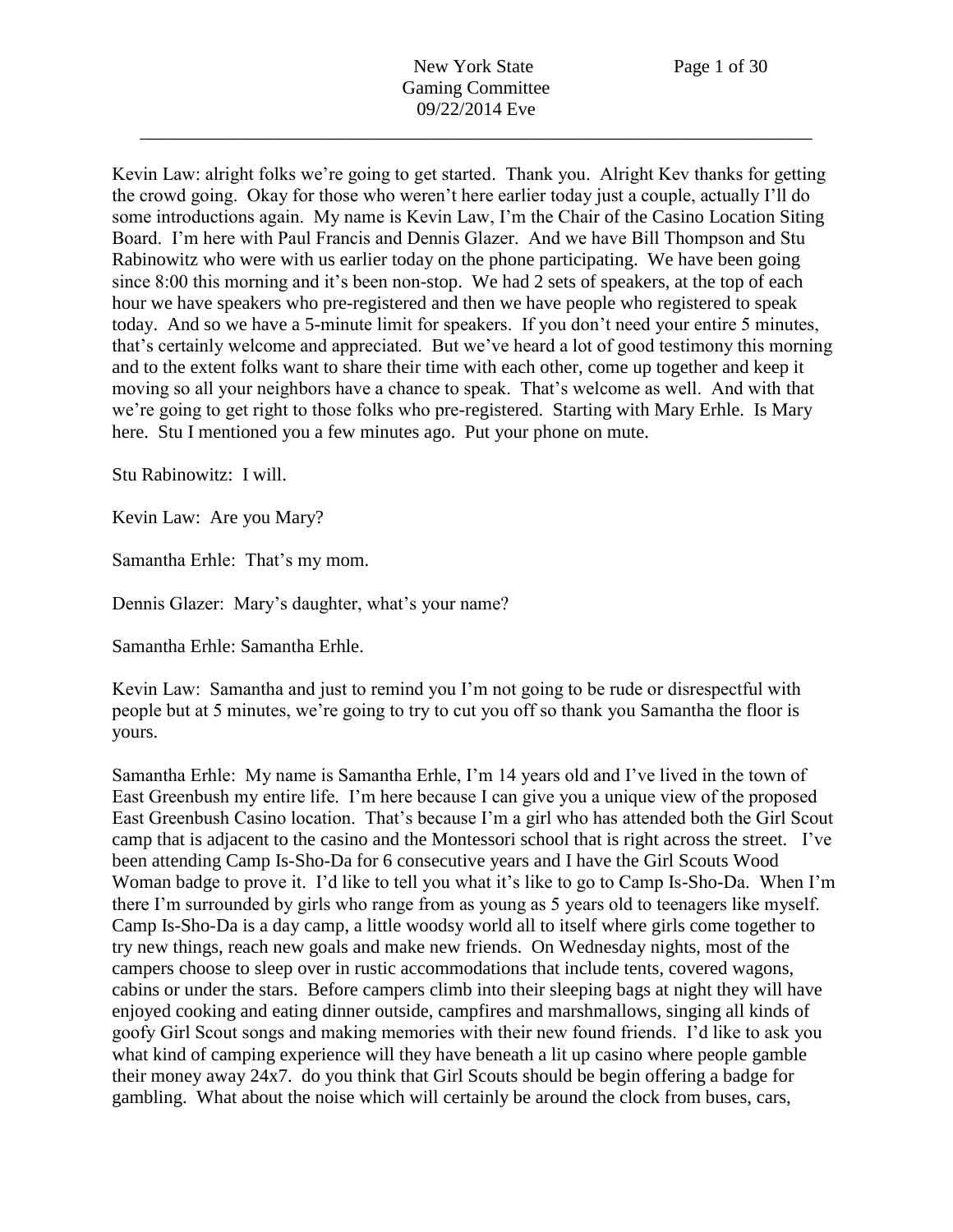Kevin Law: alright folks we're going to get started. Thank you. Alright Kev thanks for getting the crowd going. Okay for those who weren't here earlier today just a couple, actually I'll do some introductions again. My name is Kevin Law, I'm the Chair of the Casino Location Siting Board. I'm here with Paul Francis and Dennis Glazer. And we have Bill Thompson and Stu Rabinowitz who were with us earlier today on the phone participating. We have been going since 8:00 this morning and it's been non-stop. We had 2 sets of speakers, at the top of each hour we have speakers who pre-registered and then we have people who registered to speak today. And so we have a 5-minute limit for speakers. If you don't need your entire 5 minutes, that's certainly welcome and appreciated. But we've heard a lot of good testimony this morning and to the extent folks want to share their time with each other, come up together and keep it moving so all your neighbors have a chance to speak. That's welcome as well. And with that we're going to get right to those folks who pre-registered. Starting with Mary Erhle. Is Mary here. Stu I mentioned you a few minutes ago. Put your phone on mute.

Stu Rabinowitz: I will.

Kevin Law: Are you Mary?

Samantha Erhle: That's my mom.

Dennis Glazer: Mary's daughter, what's your name?

Samantha Erhle: Samantha Erhle.

Kevin Law: Samantha and just to remind you I'm not going to be rude or disrespectful with people but at 5 minutes, we're going to try to cut you off so thank you Samantha the floor is yours.

Samantha Erhle: My name is Samantha Erhle, I'm 14 years old and I've lived in the town of East Greenbush my entire life. I'm here because I can give you a unique view of the proposed East Greenbush Casino location. That's because I'm a girl who has attended both the Girl Scout camp that is adjacent to the casino and the Montessori school that is right across the street. I've been attending Camp Is-Sho-Da for 6 consecutive years and I have the Girl Scouts Wood Woman badge to prove it. I'd like to tell you what it's like to go to Camp Is-Sho-Da. When I'm there I'm surrounded by girls who range from as young as 5 years old to teenagers like myself. Camp Is-Sho-Da is a day camp, a little woodsy world all to itself where girls come together to try new things, reach new goals and make new friends. On Wednesday nights, most of the campers choose to sleep over in rustic accommodations that include tents, covered wagons, cabins or under the stars. Before campers climb into their sleeping bags at night they will have enjoyed cooking and eating dinner outside, campfires and marshmallows, singing all kinds of goofy Girl Scout songs and making memories with their new found friends. I'd like to ask you what kind of camping experience will they have beneath a lit up casino where people gamble their money away 24x7. do you think that Girl Scouts should be begin offering a badge for gambling. What about the noise which will certainly be around the clock from buses, cars,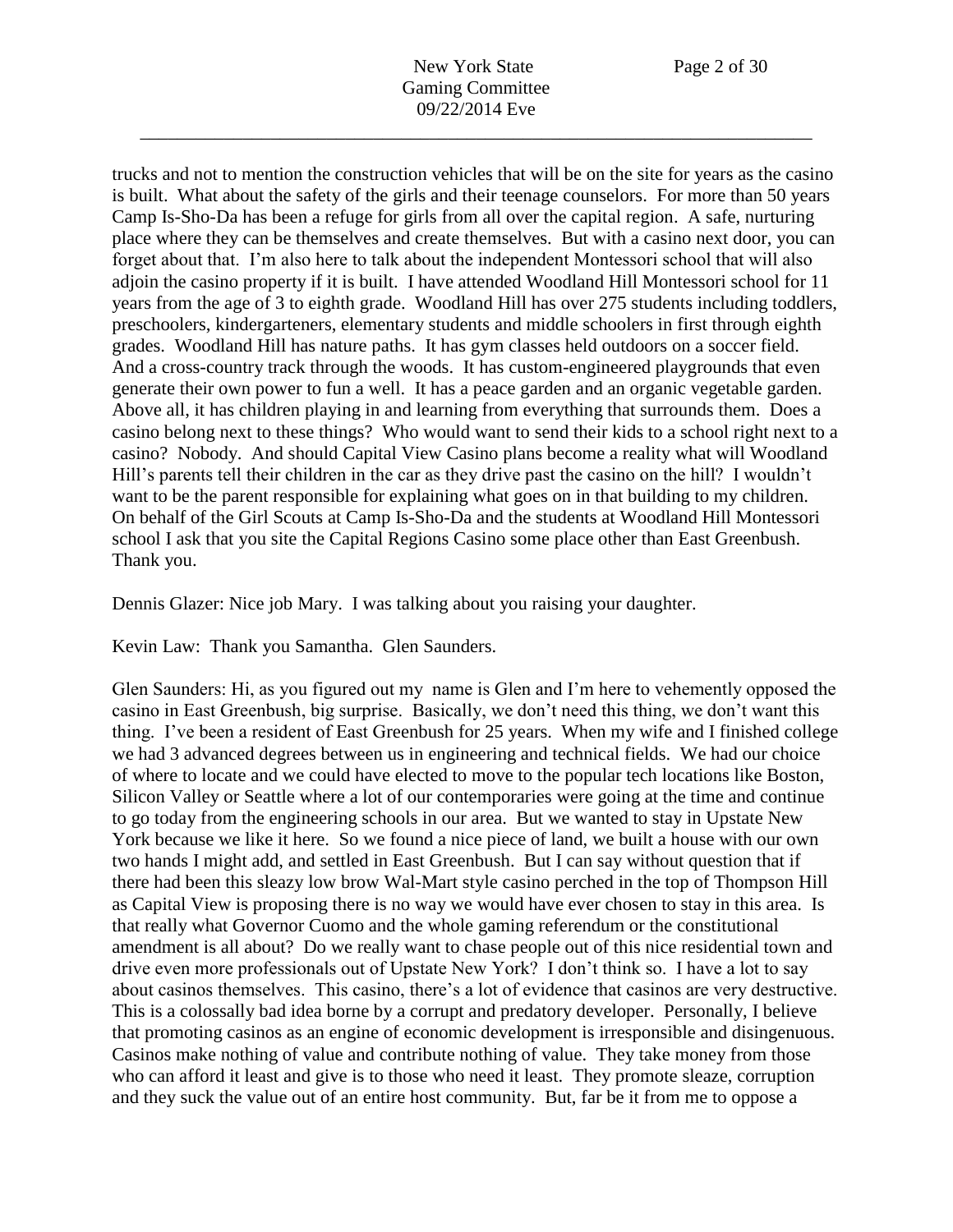trucks and not to mention the construction vehicles that will be on the site for years as the casino is built. What about the safety of the girls and their teenage counselors. For more than 50 years Camp Is-Sho-Da has been a refuge for girls from all over the capital region. A safe, nurturing place where they can be themselves and create themselves. But with a casino next door, you can forget about that. I'm also here to talk about the independent Montessori school that will also adjoin the casino property if it is built. I have attended Woodland Hill Montessori school for 11 years from the age of 3 to eighth grade. Woodland Hill has over 275 students including toddlers, preschoolers, kindergarteners, elementary students and middle schoolers in first through eighth grades. Woodland Hill has nature paths. It has gym classes held outdoors on a soccer field. And a cross-country track through the woods. It has custom-engineered playgrounds that even generate their own power to fun a well. It has a peace garden and an organic vegetable garden. Above all, it has children playing in and learning from everything that surrounds them. Does a casino belong next to these things? Who would want to send their kids to a school right next to a casino? Nobody. And should Capital View Casino plans become a reality what will Woodland Hill's parents tell their children in the car as they drive past the casino on the hill? I wouldn't want to be the parent responsible for explaining what goes on in that building to my children. On behalf of the Girl Scouts at Camp Is-Sho-Da and the students at Woodland Hill Montessori school I ask that you site the Capital Regions Casino some place other than East Greenbush. Thank you.

Dennis Glazer: Nice job Mary. I was talking about you raising your daughter.

Kevin Law: Thank you Samantha. Glen Saunders.

Glen Saunders: Hi, as you figured out my name is Glen and I'm here to vehemently opposed the casino in East Greenbush, big surprise. Basically, we don't need this thing, we don't want this thing. I've been a resident of East Greenbush for 25 years. When my wife and I finished college we had 3 advanced degrees between us in engineering and technical fields. We had our choice of where to locate and we could have elected to move to the popular tech locations like Boston, Silicon Valley or Seattle where a lot of our contemporaries were going at the time and continue to go today from the engineering schools in our area. But we wanted to stay in Upstate New York because we like it here. So we found a nice piece of land, we built a house with our own two hands I might add, and settled in East Greenbush. But I can say without question that if there had been this sleazy low brow Wal-Mart style casino perched in the top of Thompson Hill as Capital View is proposing there is no way we would have ever chosen to stay in this area. Is that really what Governor Cuomo and the whole gaming referendum or the constitutional amendment is all about? Do we really want to chase people out of this nice residential town and drive even more professionals out of Upstate New York? I don't think so. I have a lot to say about casinos themselves. This casino, there's a lot of evidence that casinos are very destructive. This is a colossally bad idea borne by a corrupt and predatory developer. Personally, I believe that promoting casinos as an engine of economic development is irresponsible and disingenuous. Casinos make nothing of value and contribute nothing of value. They take money from those who can afford it least and give is to those who need it least. They promote sleaze, corruption and they suck the value out of an entire host community. But, far be it from me to oppose a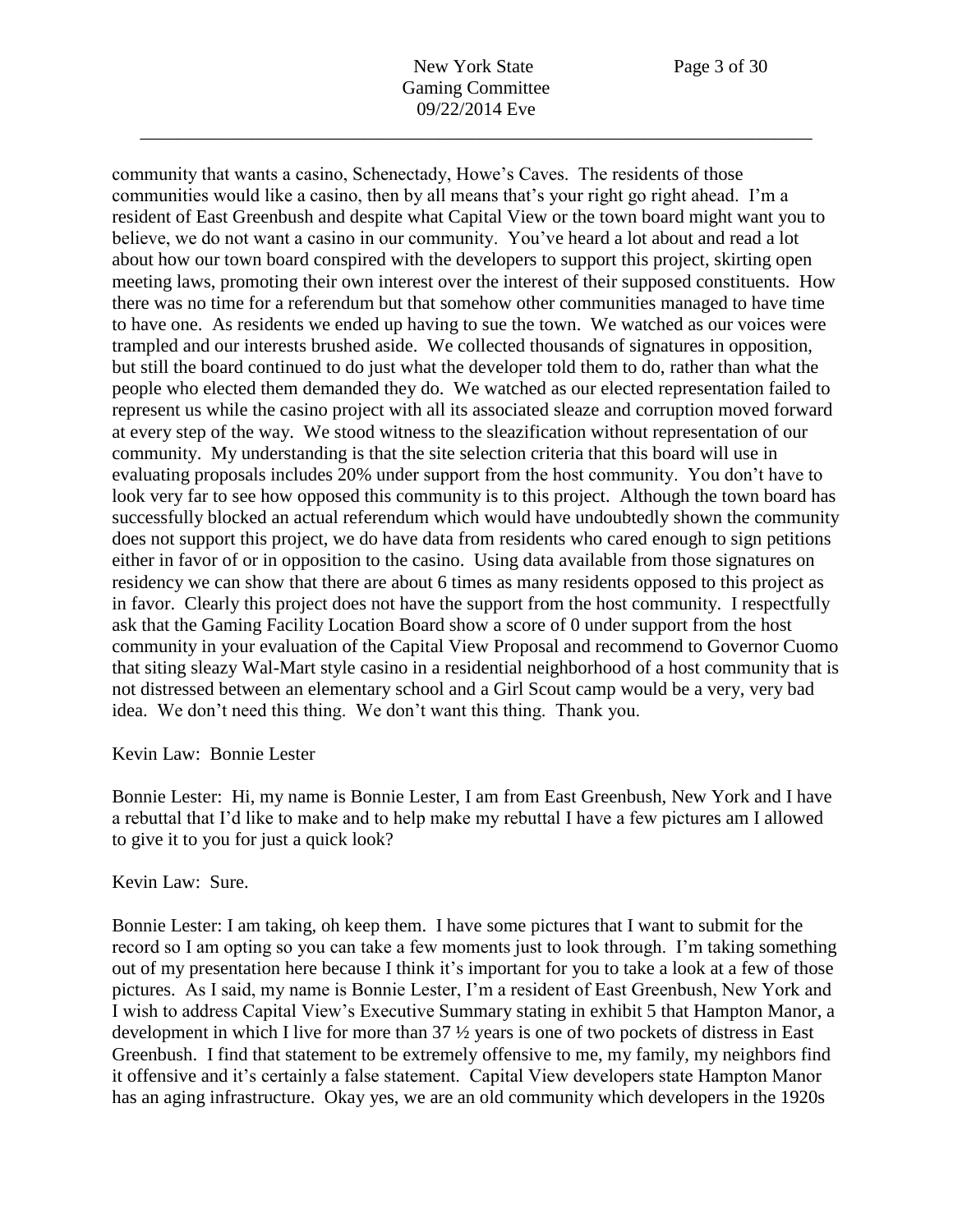New York State Page 3 of 30 Gaming Committee 09/22/2014 Eve

\_\_\_\_\_\_\_\_\_\_\_\_\_\_\_\_\_\_\_\_\_\_\_\_\_\_\_\_\_\_\_\_\_\_\_\_\_\_\_\_\_\_\_\_\_\_\_\_\_\_\_\_\_\_\_\_\_\_\_\_\_\_\_\_\_\_\_\_\_\_\_\_

community that wants a casino, Schenectady, Howe's Caves. The residents of those communities would like a casino, then by all means that's your right go right ahead. I'm a resident of East Greenbush and despite what Capital View or the town board might want you to believe, we do not want a casino in our community. You've heard a lot about and read a lot about how our town board conspired with the developers to support this project, skirting open meeting laws, promoting their own interest over the interest of their supposed constituents. How there was no time for a referendum but that somehow other communities managed to have time to have one. As residents we ended up having to sue the town. We watched as our voices were trampled and our interests brushed aside. We collected thousands of signatures in opposition, but still the board continued to do just what the developer told them to do, rather than what the people who elected them demanded they do. We watched as our elected representation failed to represent us while the casino project with all its associated sleaze and corruption moved forward at every step of the way. We stood witness to the sleazification without representation of our community. My understanding is that the site selection criteria that this board will use in evaluating proposals includes 20% under support from the host community. You don't have to look very far to see how opposed this community is to this project. Although the town board has successfully blocked an actual referendum which would have undoubtedly shown the community does not support this project, we do have data from residents who cared enough to sign petitions either in favor of or in opposition to the casino. Using data available from those signatures on residency we can show that there are about 6 times as many residents opposed to this project as in favor. Clearly this project does not have the support from the host community. I respectfully ask that the Gaming Facility Location Board show a score of 0 under support from the host community in your evaluation of the Capital View Proposal and recommend to Governor Cuomo that siting sleazy Wal-Mart style casino in a residential neighborhood of a host community that is not distressed between an elementary school and a Girl Scout camp would be a very, very bad idea. We don't need this thing. We don't want this thing. Thank you.

## Kevin Law: Bonnie Lester

Bonnie Lester: Hi, my name is Bonnie Lester, I am from East Greenbush, New York and I have a rebuttal that I'd like to make and to help make my rebuttal I have a few pictures am I allowed to give it to you for just a quick look?

## Kevin Law: Sure.

Bonnie Lester: I am taking, oh keep them. I have some pictures that I want to submit for the record so I am opting so you can take a few moments just to look through. I'm taking something out of my presentation here because I think it's important for you to take a look at a few of those pictures. As I said, my name is Bonnie Lester, I'm a resident of East Greenbush, New York and I wish to address Capital View's Executive Summary stating in exhibit 5 that Hampton Manor, a development in which I live for more than 37 ½ years is one of two pockets of distress in East Greenbush. I find that statement to be extremely offensive to me, my family, my neighbors find it offensive and it's certainly a false statement. Capital View developers state Hampton Manor has an aging infrastructure. Okay yes, we are an old community which developers in the 1920s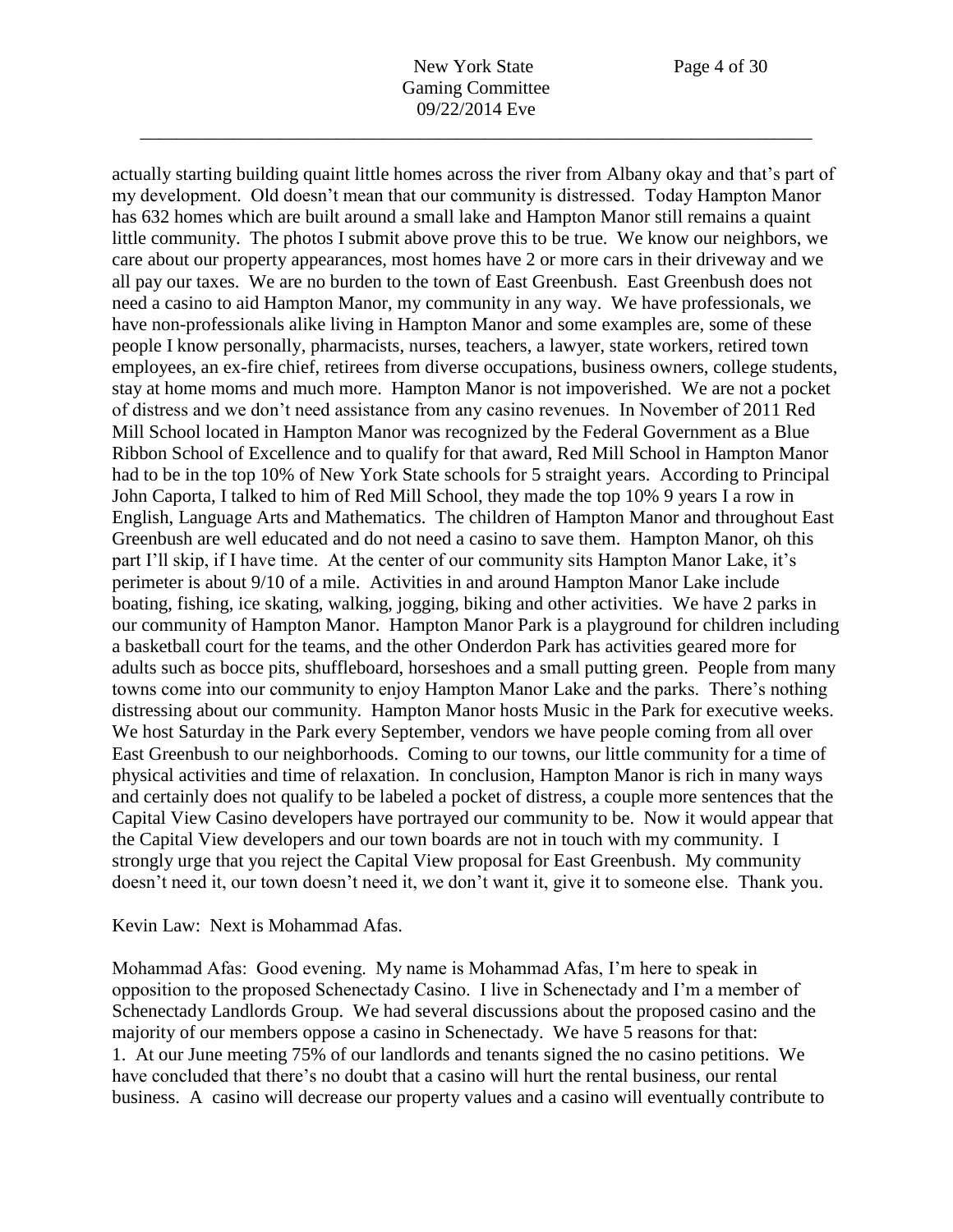actually starting building quaint little homes across the river from Albany okay and that's part of my development. Old doesn't mean that our community is distressed. Today Hampton Manor has 632 homes which are built around a small lake and Hampton Manor still remains a quaint little community. The photos I submit above prove this to be true. We know our neighbors, we care about our property appearances, most homes have 2 or more cars in their driveway and we all pay our taxes. We are no burden to the town of East Greenbush. East Greenbush does not need a casino to aid Hampton Manor, my community in any way. We have professionals, we have non-professionals alike living in Hampton Manor and some examples are, some of these people I know personally, pharmacists, nurses, teachers, a lawyer, state workers, retired town employees, an ex-fire chief, retirees from diverse occupations, business owners, college students, stay at home moms and much more. Hampton Manor is not impoverished. We are not a pocket of distress and we don't need assistance from any casino revenues. In November of 2011 Red Mill School located in Hampton Manor was recognized by the Federal Government as a Blue Ribbon School of Excellence and to qualify for that award, Red Mill School in Hampton Manor had to be in the top 10% of New York State schools for 5 straight years. According to Principal John Caporta, I talked to him of Red Mill School, they made the top 10% 9 years I a row in English, Language Arts and Mathematics. The children of Hampton Manor and throughout East Greenbush are well educated and do not need a casino to save them. Hampton Manor, oh this part I'll skip, if I have time. At the center of our community sits Hampton Manor Lake, it's perimeter is about 9/10 of a mile. Activities in and around Hampton Manor Lake include boating, fishing, ice skating, walking, jogging, biking and other activities. We have 2 parks in our community of Hampton Manor. Hampton Manor Park is a playground for children including a basketball court for the teams, and the other Onderdon Park has activities geared more for adults such as bocce pits, shuffleboard, horseshoes and a small putting green. People from many towns come into our community to enjoy Hampton Manor Lake and the parks. There's nothing distressing about our community. Hampton Manor hosts Music in the Park for executive weeks. We host Saturday in the Park every September, vendors we have people coming from all over East Greenbush to our neighborhoods. Coming to our towns, our little community for a time of physical activities and time of relaxation. In conclusion, Hampton Manor is rich in many ways and certainly does not qualify to be labeled a pocket of distress, a couple more sentences that the Capital View Casino developers have portrayed our community to be. Now it would appear that the Capital View developers and our town boards are not in touch with my community. I strongly urge that you reject the Capital View proposal for East Greenbush. My community doesn't need it, our town doesn't need it, we don't want it, give it to someone else. Thank you.

Kevin Law: Next is Mohammad Afas.

Mohammad Afas: Good evening. My name is Mohammad Afas, I'm here to speak in opposition to the proposed Schenectady Casino. I live in Schenectady and I'm a member of Schenectady Landlords Group. We had several discussions about the proposed casino and the majority of our members oppose a casino in Schenectady. We have 5 reasons for that: 1. At our June meeting 75% of our landlords and tenants signed the no casino petitions. We have concluded that there's no doubt that a casino will hurt the rental business, our rental business. A casino will decrease our property values and a casino will eventually contribute to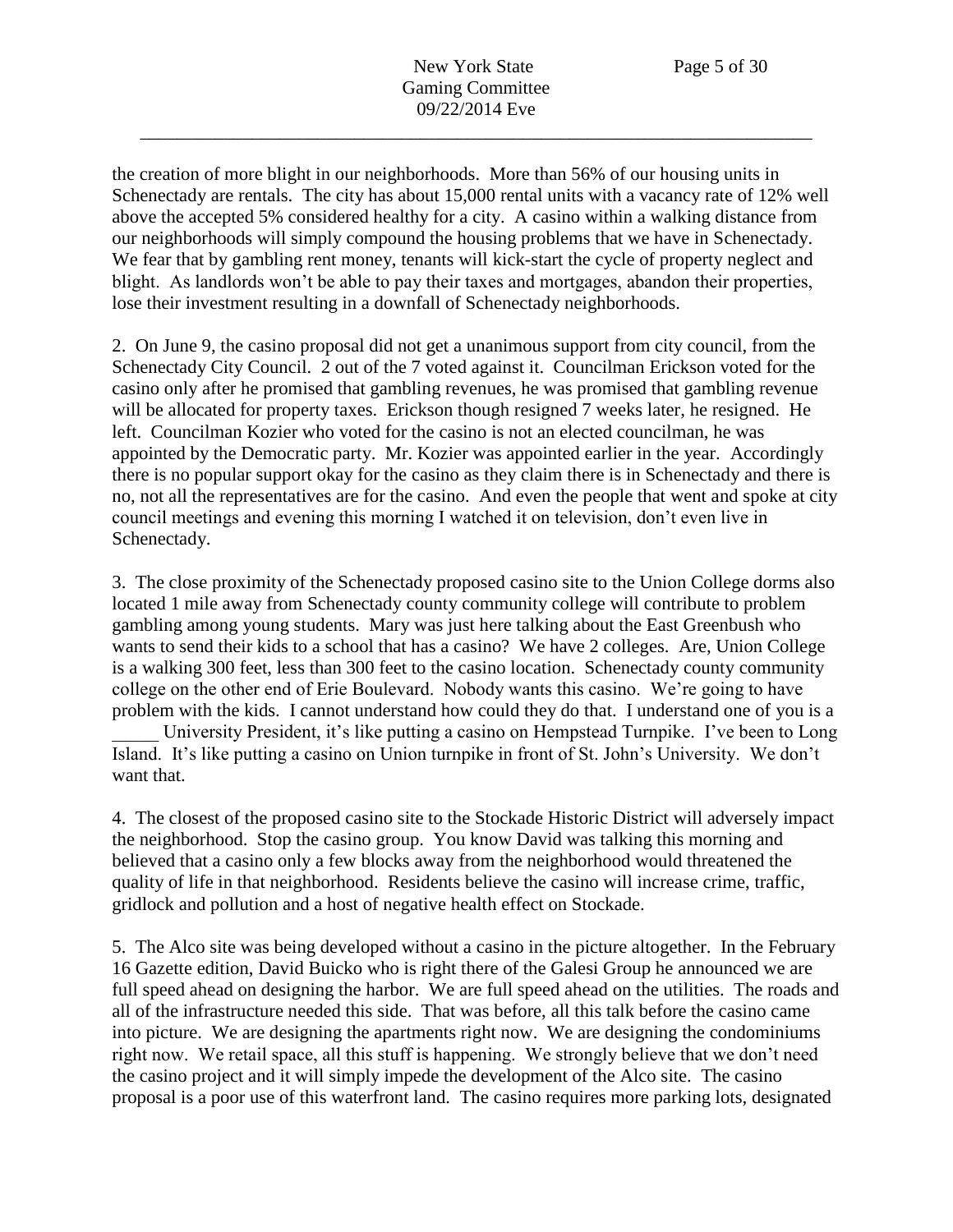the creation of more blight in our neighborhoods. More than 56% of our housing units in Schenectady are rentals. The city has about 15,000 rental units with a vacancy rate of 12% well above the accepted 5% considered healthy for a city. A casino within a walking distance from our neighborhoods will simply compound the housing problems that we have in Schenectady. We fear that by gambling rent money, tenants will kick-start the cycle of property neglect and blight. As landlords won't be able to pay their taxes and mortgages, abandon their properties, lose their investment resulting in a downfall of Schenectady neighborhoods.

2. On June 9, the casino proposal did not get a unanimous support from city council, from the Schenectady City Council. 2 out of the 7 voted against it. Councilman Erickson voted for the casino only after he promised that gambling revenues, he was promised that gambling revenue will be allocated for property taxes. Erickson though resigned 7 weeks later, he resigned. He left. Councilman Kozier who voted for the casino is not an elected councilman, he was appointed by the Democratic party. Mr. Kozier was appointed earlier in the year. Accordingly there is no popular support okay for the casino as they claim there is in Schenectady and there is no, not all the representatives are for the casino. And even the people that went and spoke at city council meetings and evening this morning I watched it on television, don't even live in Schenectady.

3. The close proximity of the Schenectady proposed casino site to the Union College dorms also located 1 mile away from Schenectady county community college will contribute to problem gambling among young students. Mary was just here talking about the East Greenbush who wants to send their kids to a school that has a casino? We have 2 colleges. Are, Union College is a walking 300 feet, less than 300 feet to the casino location. Schenectady county community college on the other end of Erie Boulevard. Nobody wants this casino. We're going to have problem with the kids. I cannot understand how could they do that. I understand one of you is a

University President, it's like putting a casino on Hempstead Turnpike. I've been to Long Island. It's like putting a casino on Union turnpike in front of St. John's University. We don't want that.

4. The closest of the proposed casino site to the Stockade Historic District will adversely impact the neighborhood. Stop the casino group. You know David was talking this morning and believed that a casino only a few blocks away from the neighborhood would threatened the quality of life in that neighborhood. Residents believe the casino will increase crime, traffic, gridlock and pollution and a host of negative health effect on Stockade.

5. The Alco site was being developed without a casino in the picture altogether. In the February 16 Gazette edition, David Buicko who is right there of the Galesi Group he announced we are full speed ahead on designing the harbor. We are full speed ahead on the utilities. The roads and all of the infrastructure needed this side. That was before, all this talk before the casino came into picture. We are designing the apartments right now. We are designing the condominiums right now. We retail space, all this stuff is happening. We strongly believe that we don't need the casino project and it will simply impede the development of the Alco site. The casino proposal is a poor use of this waterfront land. The casino requires more parking lots, designated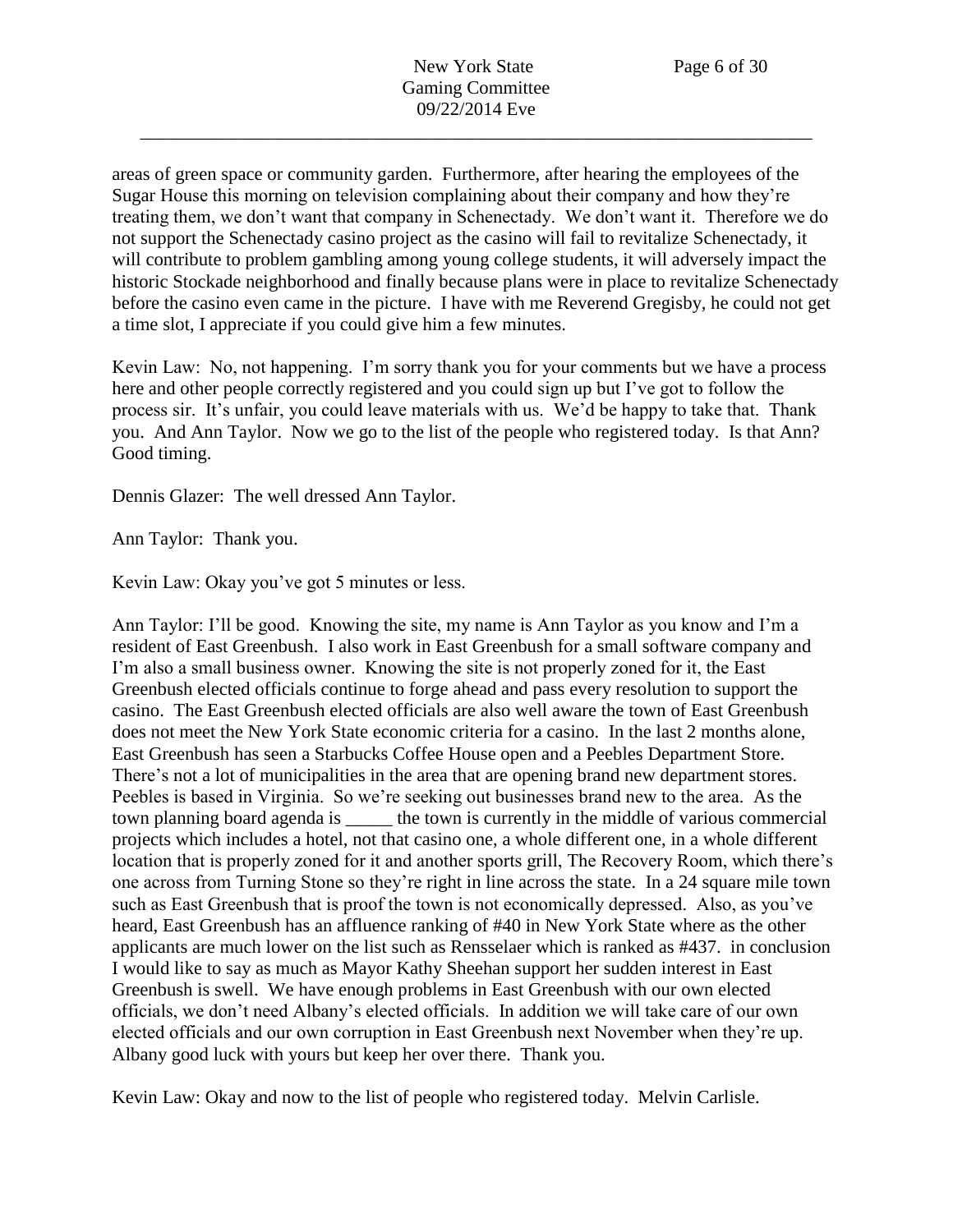areas of green space or community garden. Furthermore, after hearing the employees of the Sugar House this morning on television complaining about their company and how they're treating them, we don't want that company in Schenectady. We don't want it. Therefore we do not support the Schenectady casino project as the casino will fail to revitalize Schenectady, it will contribute to problem gambling among young college students, it will adversely impact the historic Stockade neighborhood and finally because plans were in place to revitalize Schenectady before the casino even came in the picture. I have with me Reverend Gregisby, he could not get a time slot, I appreciate if you could give him a few minutes.

Kevin Law: No, not happening. I'm sorry thank you for your comments but we have a process here and other people correctly registered and you could sign up but I've got to follow the process sir. It's unfair, you could leave materials with us. We'd be happy to take that. Thank you. And Ann Taylor. Now we go to the list of the people who registered today. Is that Ann? Good timing.

Dennis Glazer: The well dressed Ann Taylor.

Ann Taylor: Thank you.

Kevin Law: Okay you've got 5 minutes or less.

Ann Taylor: I'll be good. Knowing the site, my name is Ann Taylor as you know and I'm a resident of East Greenbush. I also work in East Greenbush for a small software company and I'm also a small business owner. Knowing the site is not properly zoned for it, the East Greenbush elected officials continue to forge ahead and pass every resolution to support the casino. The East Greenbush elected officials are also well aware the town of East Greenbush does not meet the New York State economic criteria for a casino. In the last 2 months alone, East Greenbush has seen a Starbucks Coffee House open and a Peebles Department Store. There's not a lot of municipalities in the area that are opening brand new department stores. Peebles is based in Virginia. So we're seeking out businesses brand new to the area. As the town planning board agenda is \_\_\_\_\_ the town is currently in the middle of various commercial projects which includes a hotel, not that casino one, a whole different one, in a whole different location that is properly zoned for it and another sports grill, The Recovery Room, which there's one across from Turning Stone so they're right in line across the state. In a 24 square mile town such as East Greenbush that is proof the town is not economically depressed. Also, as you've heard, East Greenbush has an affluence ranking of #40 in New York State where as the other applicants are much lower on the list such as Rensselaer which is ranked as #437. in conclusion I would like to say as much as Mayor Kathy Sheehan support her sudden interest in East Greenbush is swell. We have enough problems in East Greenbush with our own elected officials, we don't need Albany's elected officials. In addition we will take care of our own elected officials and our own corruption in East Greenbush next November when they're up. Albany good luck with yours but keep her over there. Thank you.

Kevin Law: Okay and now to the list of people who registered today. Melvin Carlisle.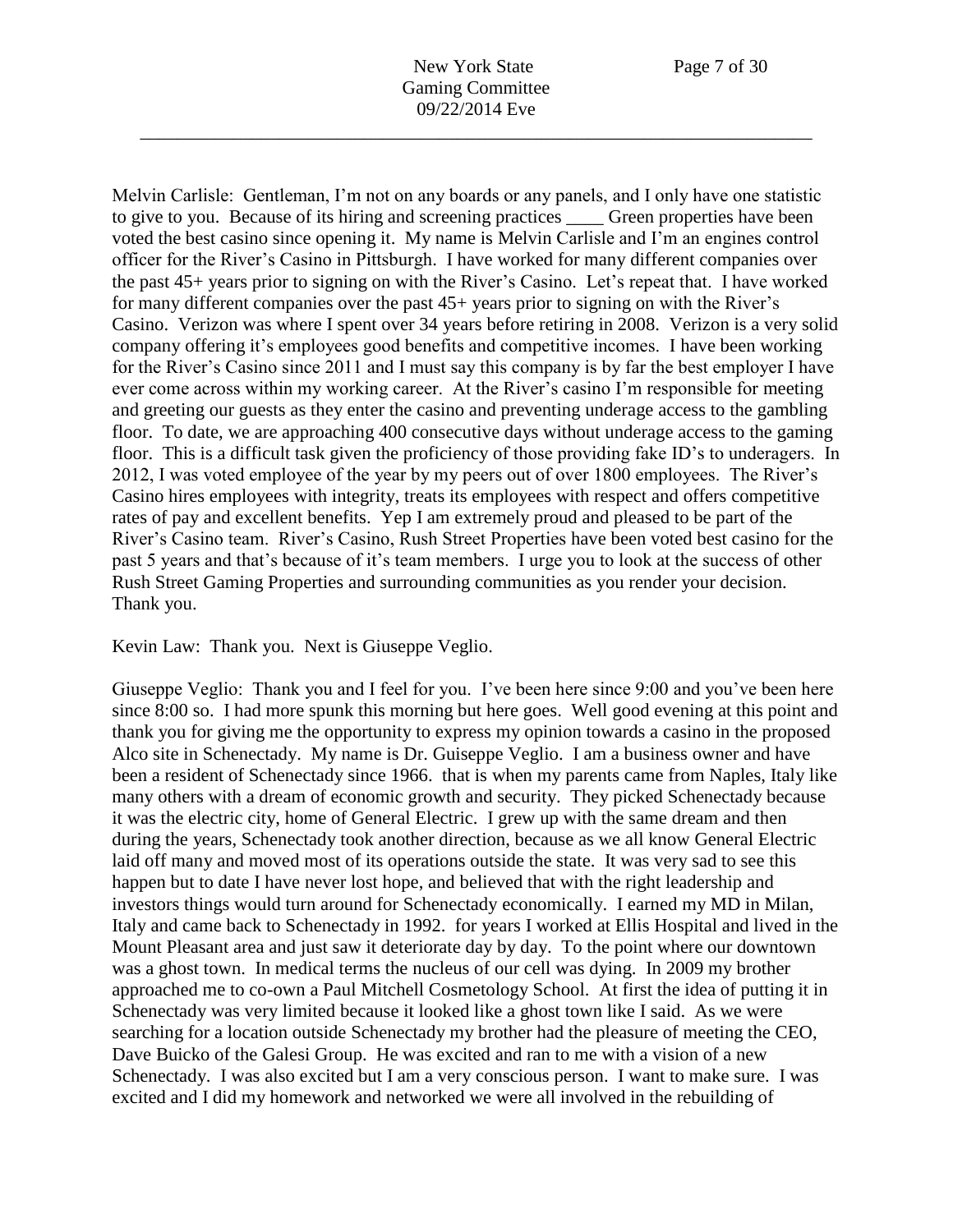Melvin Carlisle: Gentleman, I'm not on any boards or any panels, and I only have one statistic to give to you. Because of its hiring and screening practices Green properties have been voted the best casino since opening it. My name is Melvin Carlisle and I'm an engines control officer for the River's Casino in Pittsburgh. I have worked for many different companies over the past 45+ years prior to signing on with the River's Casino. Let's repeat that. I have worked for many different companies over the past 45+ years prior to signing on with the River's Casino. Verizon was where I spent over 34 years before retiring in 2008. Verizon is a very solid company offering it's employees good benefits and competitive incomes. I have been working for the River's Casino since 2011 and I must say this company is by far the best employer I have ever come across within my working career. At the River's casino I'm responsible for meeting and greeting our guests as they enter the casino and preventing underage access to the gambling floor. To date, we are approaching 400 consecutive days without underage access to the gaming floor. This is a difficult task given the proficiency of those providing fake ID's to underagers. In 2012, I was voted employee of the year by my peers out of over 1800 employees. The River's Casino hires employees with integrity, treats its employees with respect and offers competitive rates of pay and excellent benefits. Yep I am extremely proud and pleased to be part of the River's Casino team. River's Casino, Rush Street Properties have been voted best casino for the past 5 years and that's because of it's team members. I urge you to look at the success of other Rush Street Gaming Properties and surrounding communities as you render your decision. Thank you.

Kevin Law: Thank you. Next is Giuseppe Veglio.

Giuseppe Veglio: Thank you and I feel for you. I've been here since 9:00 and you've been here since 8:00 so. I had more spunk this morning but here goes. Well good evening at this point and thank you for giving me the opportunity to express my opinion towards a casino in the proposed Alco site in Schenectady. My name is Dr. Guiseppe Veglio. I am a business owner and have been a resident of Schenectady since 1966. that is when my parents came from Naples, Italy like many others with a dream of economic growth and security. They picked Schenectady because it was the electric city, home of General Electric. I grew up with the same dream and then during the years, Schenectady took another direction, because as we all know General Electric laid off many and moved most of its operations outside the state. It was very sad to see this happen but to date I have never lost hope, and believed that with the right leadership and investors things would turn around for Schenectady economically. I earned my MD in Milan, Italy and came back to Schenectady in 1992. for years I worked at Ellis Hospital and lived in the Mount Pleasant area and just saw it deteriorate day by day. To the point where our downtown was a ghost town. In medical terms the nucleus of our cell was dying. In 2009 my brother approached me to co-own a Paul Mitchell Cosmetology School. At first the idea of putting it in Schenectady was very limited because it looked like a ghost town like I said. As we were searching for a location outside Schenectady my brother had the pleasure of meeting the CEO, Dave Buicko of the Galesi Group. He was excited and ran to me with a vision of a new Schenectady. I was also excited but I am a very conscious person. I want to make sure. I was excited and I did my homework and networked we were all involved in the rebuilding of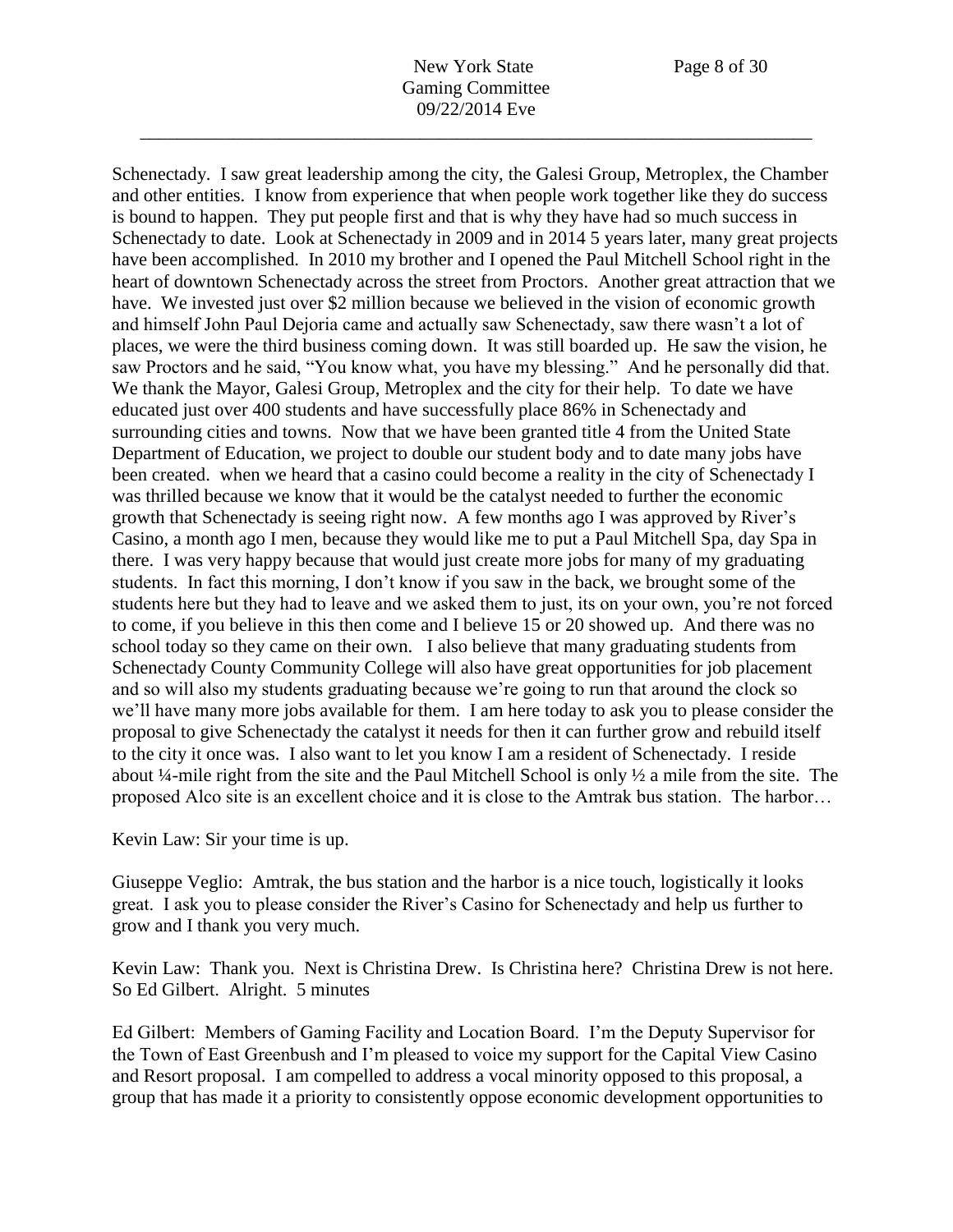Schenectady. I saw great leadership among the city, the Galesi Group, Metroplex, the Chamber and other entities. I know from experience that when people work together like they do success is bound to happen. They put people first and that is why they have had so much success in Schenectady to date. Look at Schenectady in 2009 and in 2014 5 years later, many great projects have been accomplished. In 2010 my brother and I opened the Paul Mitchell School right in the heart of downtown Schenectady across the street from Proctors. Another great attraction that we have. We invested just over \$2 million because we believed in the vision of economic growth and himself John Paul Dejoria came and actually saw Schenectady, saw there wasn't a lot of places, we were the third business coming down. It was still boarded up. He saw the vision, he saw Proctors and he said, "You know what, you have my blessing." And he personally did that. We thank the Mayor, Galesi Group, Metroplex and the city for their help. To date we have educated just over 400 students and have successfully place 86% in Schenectady and surrounding cities and towns. Now that we have been granted title 4 from the United State Department of Education, we project to double our student body and to date many jobs have been created. when we heard that a casino could become a reality in the city of Schenectady I was thrilled because we know that it would be the catalyst needed to further the economic growth that Schenectady is seeing right now. A few months ago I was approved by River's Casino, a month ago I men, because they would like me to put a Paul Mitchell Spa, day Spa in there. I was very happy because that would just create more jobs for many of my graduating students. In fact this morning, I don't know if you saw in the back, we brought some of the students here but they had to leave and we asked them to just, its on your own, you're not forced to come, if you believe in this then come and I believe 15 or 20 showed up. And there was no school today so they came on their own. I also believe that many graduating students from Schenectady County Community College will also have great opportunities for job placement and so will also my students graduating because we're going to run that around the clock so we'll have many more jobs available for them. I am here today to ask you to please consider the proposal to give Schenectady the catalyst it needs for then it can further grow and rebuild itself to the city it once was. I also want to let you know I am a resident of Schenectady. I reside about ¼-mile right from the site and the Paul Mitchell School is only ½ a mile from the site. The proposed Alco site is an excellent choice and it is close to the Amtrak bus station. The harbor…

Kevin Law: Sir your time is up.

Giuseppe Veglio: Amtrak, the bus station and the harbor is a nice touch, logistically it looks great. I ask you to please consider the River's Casino for Schenectady and help us further to grow and I thank you very much.

Kevin Law: Thank you. Next is Christina Drew. Is Christina here? Christina Drew is not here. So Ed Gilbert. Alright. 5 minutes

Ed Gilbert: Members of Gaming Facility and Location Board. I'm the Deputy Supervisor for the Town of East Greenbush and I'm pleased to voice my support for the Capital View Casino and Resort proposal. I am compelled to address a vocal minority opposed to this proposal, a group that has made it a priority to consistently oppose economic development opportunities to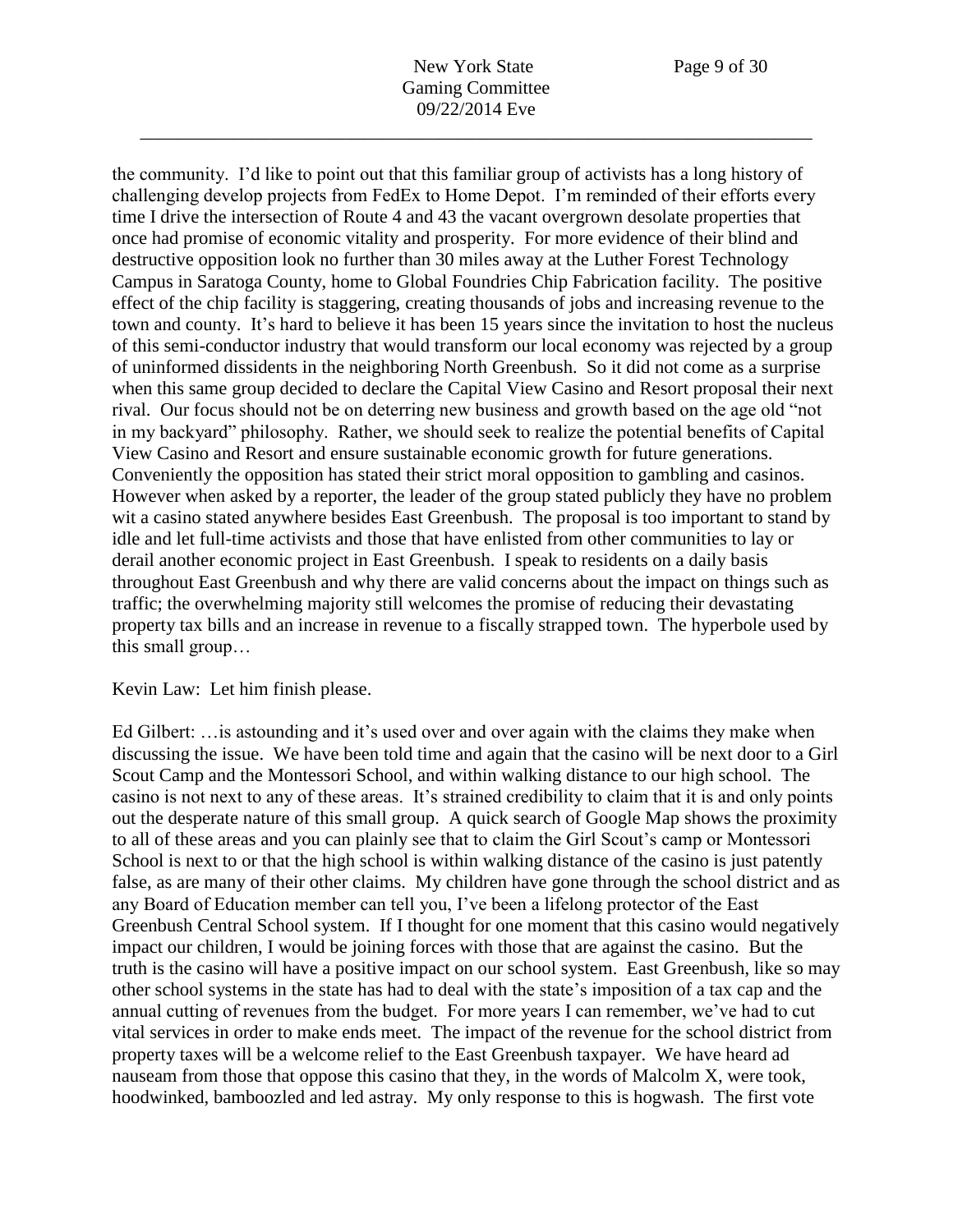the community. I'd like to point out that this familiar group of activists has a long history of challenging develop projects from FedEx to Home Depot. I'm reminded of their efforts every time I drive the intersection of Route 4 and 43 the vacant overgrown desolate properties that once had promise of economic vitality and prosperity. For more evidence of their blind and destructive opposition look no further than 30 miles away at the Luther Forest Technology Campus in Saratoga County, home to Global Foundries Chip Fabrication facility. The positive effect of the chip facility is staggering, creating thousands of jobs and increasing revenue to the town and county. It's hard to believe it has been 15 years since the invitation to host the nucleus of this semi-conductor industry that would transform our local economy was rejected by a group of uninformed dissidents in the neighboring North Greenbush. So it did not come as a surprise when this same group decided to declare the Capital View Casino and Resort proposal their next rival. Our focus should not be on deterring new business and growth based on the age old "not in my backyard" philosophy. Rather, we should seek to realize the potential benefits of Capital View Casino and Resort and ensure sustainable economic growth for future generations. Conveniently the opposition has stated their strict moral opposition to gambling and casinos. However when asked by a reporter, the leader of the group stated publicly they have no problem wit a casino stated anywhere besides East Greenbush. The proposal is too important to stand by idle and let full-time activists and those that have enlisted from other communities to lay or derail another economic project in East Greenbush. I speak to residents on a daily basis throughout East Greenbush and why there are valid concerns about the impact on things such as traffic; the overwhelming majority still welcomes the promise of reducing their devastating property tax bills and an increase in revenue to a fiscally strapped town. The hyperbole used by this small group…

## Kevin Law: Let him finish please.

Ed Gilbert: …is astounding and it's used over and over again with the claims they make when discussing the issue. We have been told time and again that the casino will be next door to a Girl Scout Camp and the Montessori School, and within walking distance to our high school. The casino is not next to any of these areas. It's strained credibility to claim that it is and only points out the desperate nature of this small group. A quick search of Google Map shows the proximity to all of these areas and you can plainly see that to claim the Girl Scout's camp or Montessori School is next to or that the high school is within walking distance of the casino is just patently false, as are many of their other claims. My children have gone through the school district and as any Board of Education member can tell you, I've been a lifelong protector of the East Greenbush Central School system. If I thought for one moment that this casino would negatively impact our children, I would be joining forces with those that are against the casino. But the truth is the casino will have a positive impact on our school system. East Greenbush, like so may other school systems in the state has had to deal with the state's imposition of a tax cap and the annual cutting of revenues from the budget. For more years I can remember, we've had to cut vital services in order to make ends meet. The impact of the revenue for the school district from property taxes will be a welcome relief to the East Greenbush taxpayer. We have heard ad nauseam from those that oppose this casino that they, in the words of Malcolm X, were took, hoodwinked, bamboozled and led astray. My only response to this is hogwash. The first vote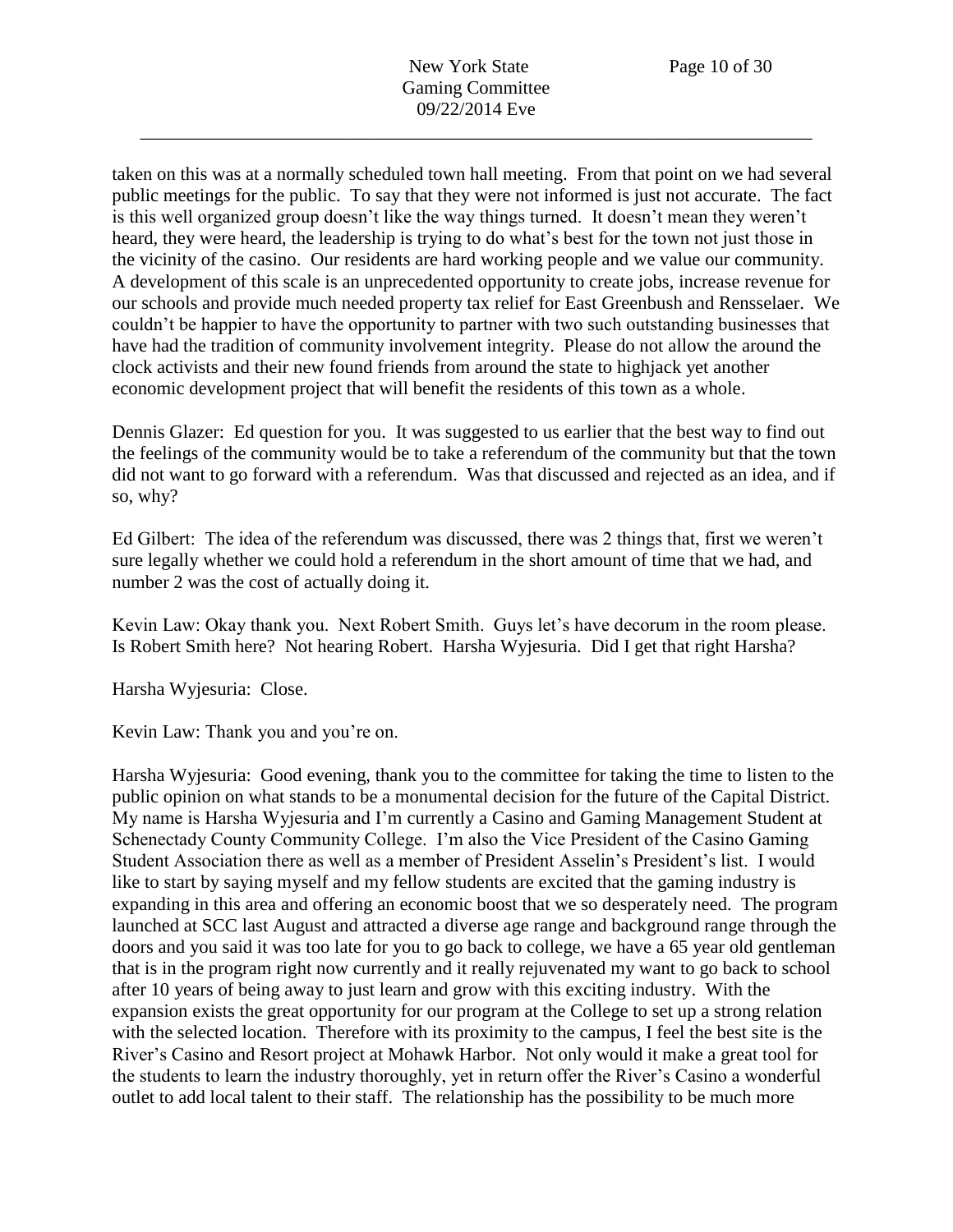taken on this was at a normally scheduled town hall meeting. From that point on we had several public meetings for the public. To say that they were not informed is just not accurate. The fact is this well organized group doesn't like the way things turned. It doesn't mean they weren't heard, they were heard, the leadership is trying to do what's best for the town not just those in the vicinity of the casino. Our residents are hard working people and we value our community. A development of this scale is an unprecedented opportunity to create jobs, increase revenue for our schools and provide much needed property tax relief for East Greenbush and Rensselaer. We couldn't be happier to have the opportunity to partner with two such outstanding businesses that have had the tradition of community involvement integrity. Please do not allow the around the clock activists and their new found friends from around the state to highjack yet another economic development project that will benefit the residents of this town as a whole.

Dennis Glazer: Ed question for you. It was suggested to us earlier that the best way to find out the feelings of the community would be to take a referendum of the community but that the town did not want to go forward with a referendum. Was that discussed and rejected as an idea, and if so, why?

Ed Gilbert: The idea of the referendum was discussed, there was 2 things that, first we weren't sure legally whether we could hold a referendum in the short amount of time that we had, and number 2 was the cost of actually doing it.

Kevin Law: Okay thank you. Next Robert Smith. Guys let's have decorum in the room please. Is Robert Smith here? Not hearing Robert. Harsha Wyjesuria. Did I get that right Harsha?

Harsha Wyjesuria: Close.

Kevin Law: Thank you and you're on.

Harsha Wyjesuria: Good evening, thank you to the committee for taking the time to listen to the public opinion on what stands to be a monumental decision for the future of the Capital District. My name is Harsha Wyjesuria and I'm currently a Casino and Gaming Management Student at Schenectady County Community College. I'm also the Vice President of the Casino Gaming Student Association there as well as a member of President Asselin's President's list. I would like to start by saying myself and my fellow students are excited that the gaming industry is expanding in this area and offering an economic boost that we so desperately need. The program launched at SCC last August and attracted a diverse age range and background range through the doors and you said it was too late for you to go back to college, we have a 65 year old gentleman that is in the program right now currently and it really rejuvenated my want to go back to school after 10 years of being away to just learn and grow with this exciting industry. With the expansion exists the great opportunity for our program at the College to set up a strong relation with the selected location. Therefore with its proximity to the campus, I feel the best site is the River's Casino and Resort project at Mohawk Harbor. Not only would it make a great tool for the students to learn the industry thoroughly, yet in return offer the River's Casino a wonderful outlet to add local talent to their staff. The relationship has the possibility to be much more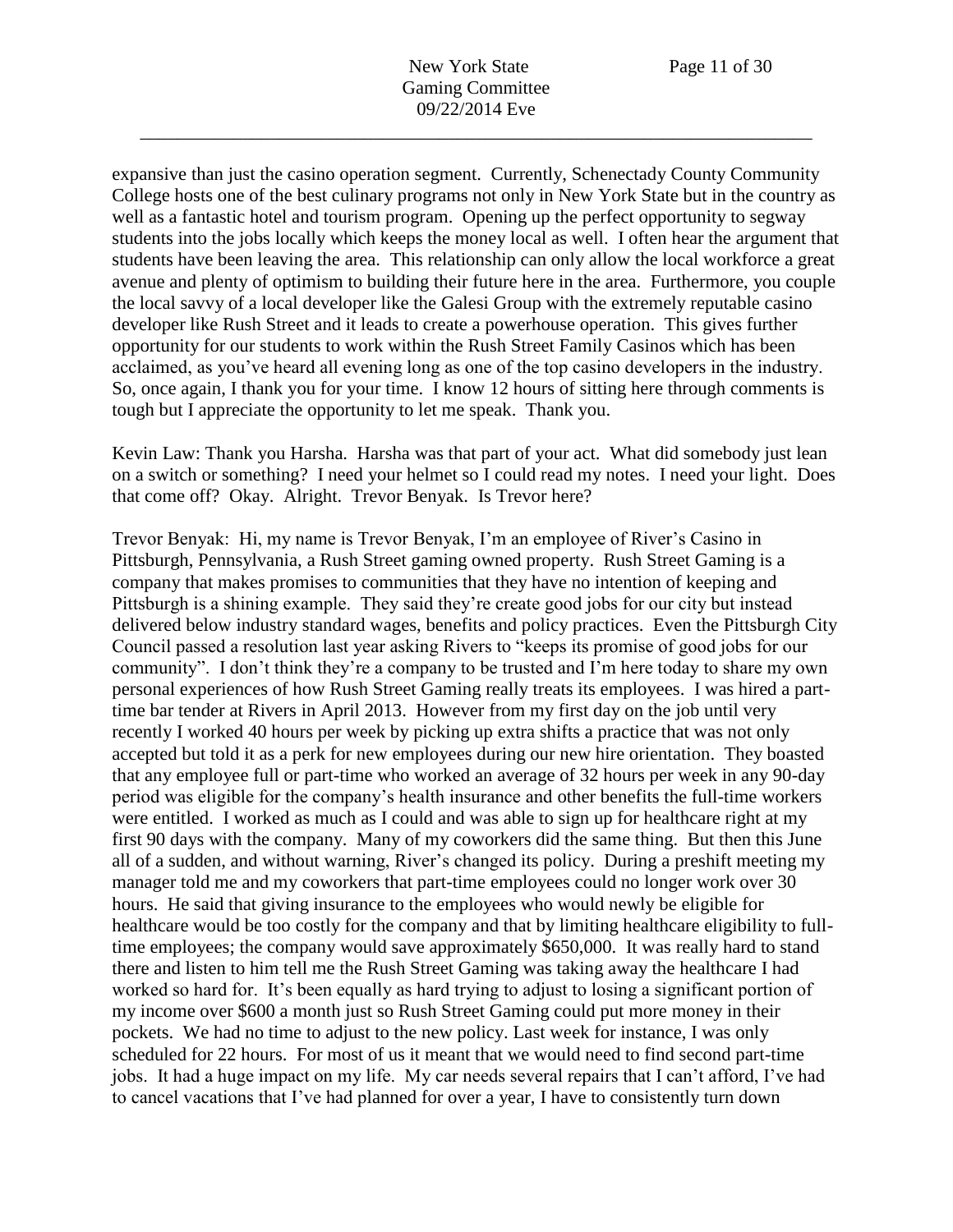expansive than just the casino operation segment. Currently, Schenectady County Community College hosts one of the best culinary programs not only in New York State but in the country as well as a fantastic hotel and tourism program. Opening up the perfect opportunity to segway students into the jobs locally which keeps the money local as well. I often hear the argument that students have been leaving the area. This relationship can only allow the local workforce a great avenue and plenty of optimism to building their future here in the area. Furthermore, you couple the local savvy of a local developer like the Galesi Group with the extremely reputable casino developer like Rush Street and it leads to create a powerhouse operation. This gives further opportunity for our students to work within the Rush Street Family Casinos which has been acclaimed, as you've heard all evening long as one of the top casino developers in the industry. So, once again, I thank you for your time. I know 12 hours of sitting here through comments is tough but I appreciate the opportunity to let me speak. Thank you.

Kevin Law: Thank you Harsha. Harsha was that part of your act. What did somebody just lean on a switch or something? I need your helmet so I could read my notes. I need your light. Does that come off? Okay. Alright. Trevor Benyak. Is Trevor here?

Trevor Benyak: Hi, my name is Trevor Benyak, I'm an employee of River's Casino in Pittsburgh, Pennsylvania, a Rush Street gaming owned property. Rush Street Gaming is a company that makes promises to communities that they have no intention of keeping and Pittsburgh is a shining example. They said they're create good jobs for our city but instead delivered below industry standard wages, benefits and policy practices. Even the Pittsburgh City Council passed a resolution last year asking Rivers to "keeps its promise of good jobs for our community". I don't think they're a company to be trusted and I'm here today to share my own personal experiences of how Rush Street Gaming really treats its employees. I was hired a parttime bar tender at Rivers in April 2013. However from my first day on the job until very recently I worked 40 hours per week by picking up extra shifts a practice that was not only accepted but told it as a perk for new employees during our new hire orientation. They boasted that any employee full or part-time who worked an average of 32 hours per week in any 90-day period was eligible for the company's health insurance and other benefits the full-time workers were entitled. I worked as much as I could and was able to sign up for healthcare right at my first 90 days with the company. Many of my coworkers did the same thing. But then this June all of a sudden, and without warning, River's changed its policy. During a preshift meeting my manager told me and my coworkers that part-time employees could no longer work over 30 hours. He said that giving insurance to the employees who would newly be eligible for healthcare would be too costly for the company and that by limiting healthcare eligibility to fulltime employees; the company would save approximately \$650,000. It was really hard to stand there and listen to him tell me the Rush Street Gaming was taking away the healthcare I had worked so hard for. It's been equally as hard trying to adjust to losing a significant portion of my income over \$600 a month just so Rush Street Gaming could put more money in their pockets. We had no time to adjust to the new policy. Last week for instance, I was only scheduled for 22 hours. For most of us it meant that we would need to find second part-time jobs. It had a huge impact on my life. My car needs several repairs that I can't afford, I've had to cancel vacations that I've had planned for over a year, I have to consistently turn down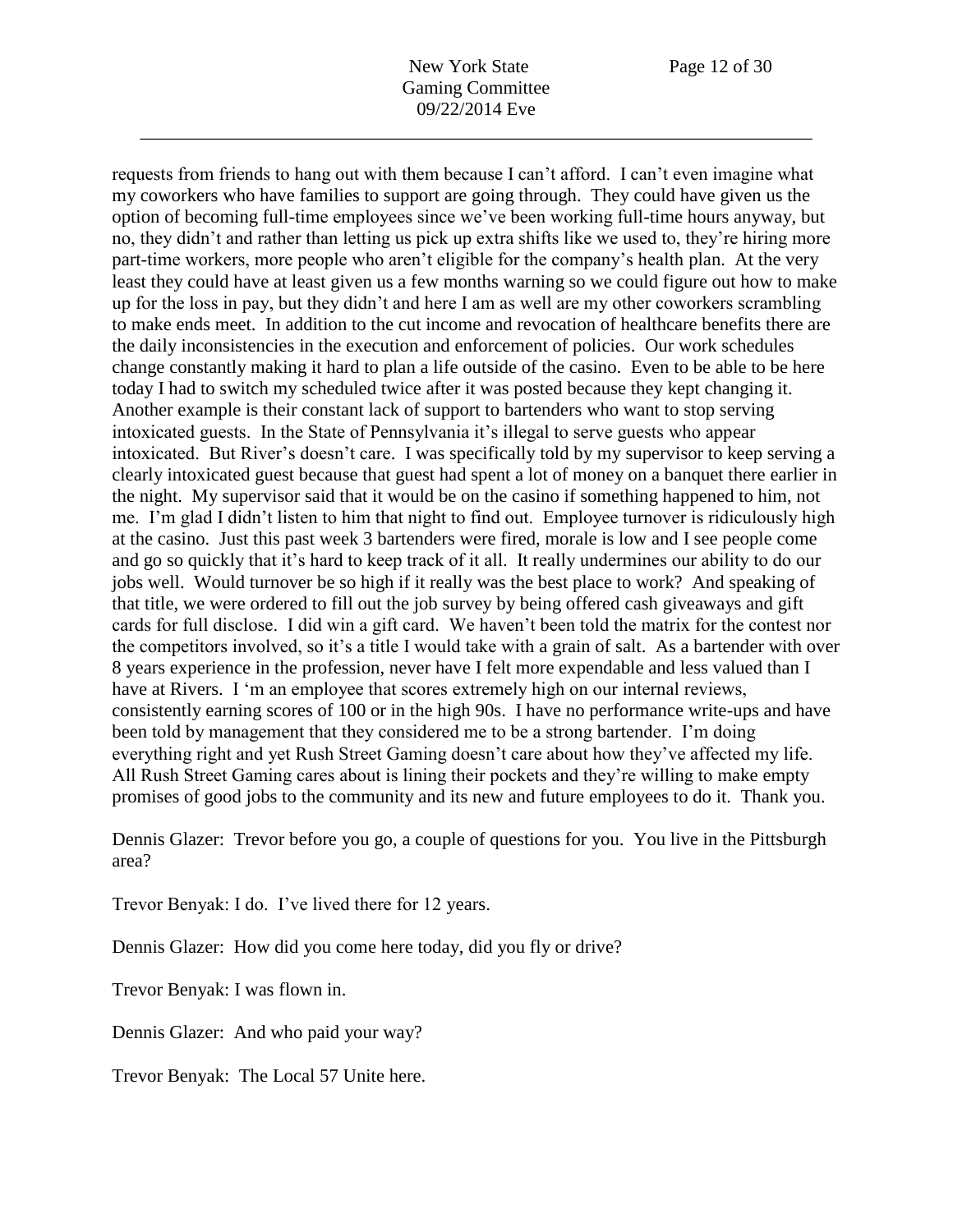New York State Page 12 of 30 Gaming Committee 09/22/2014 Eve

\_\_\_\_\_\_\_\_\_\_\_\_\_\_\_\_\_\_\_\_\_\_\_\_\_\_\_\_\_\_\_\_\_\_\_\_\_\_\_\_\_\_\_\_\_\_\_\_\_\_\_\_\_\_\_\_\_\_\_\_\_\_\_\_\_\_\_\_\_\_\_\_

requests from friends to hang out with them because I can't afford. I can't even imagine what my coworkers who have families to support are going through. They could have given us the option of becoming full-time employees since we've been working full-time hours anyway, but no, they didn't and rather than letting us pick up extra shifts like we used to, they're hiring more part-time workers, more people who aren't eligible for the company's health plan. At the very least they could have at least given us a few months warning so we could figure out how to make up for the loss in pay, but they didn't and here I am as well are my other coworkers scrambling to make ends meet. In addition to the cut income and revocation of healthcare benefits there are the daily inconsistencies in the execution and enforcement of policies. Our work schedules change constantly making it hard to plan a life outside of the casino. Even to be able to be here today I had to switch my scheduled twice after it was posted because they kept changing it. Another example is their constant lack of support to bartenders who want to stop serving intoxicated guests. In the State of Pennsylvania it's illegal to serve guests who appear intoxicated. But River's doesn't care. I was specifically told by my supervisor to keep serving a clearly intoxicated guest because that guest had spent a lot of money on a banquet there earlier in the night. My supervisor said that it would be on the casino if something happened to him, not me. I'm glad I didn't listen to him that night to find out. Employee turnover is ridiculously high at the casino. Just this past week 3 bartenders were fired, morale is low and I see people come and go so quickly that it's hard to keep track of it all. It really undermines our ability to do our jobs well. Would turnover be so high if it really was the best place to work? And speaking of that title, we were ordered to fill out the job survey by being offered cash giveaways and gift cards for full disclose. I did win a gift card. We haven't been told the matrix for the contest nor the competitors involved, so it's a title I would take with a grain of salt. As a bartender with over 8 years experience in the profession, never have I felt more expendable and less valued than I have at Rivers. I 'm an employee that scores extremely high on our internal reviews, consistently earning scores of 100 or in the high 90s. I have no performance write-ups and have been told by management that they considered me to be a strong bartender. I'm doing everything right and yet Rush Street Gaming doesn't care about how they've affected my life. All Rush Street Gaming cares about is lining their pockets and they're willing to make empty promises of good jobs to the community and its new and future employees to do it. Thank you.

Dennis Glazer: Trevor before you go, a couple of questions for you. You live in the Pittsburgh area?

Trevor Benyak: I do. I've lived there for 12 years.

Dennis Glazer: How did you come here today, did you fly or drive?

Trevor Benyak: I was flown in.

Dennis Glazer: And who paid your way?

Trevor Benyak: The Local 57 Unite here.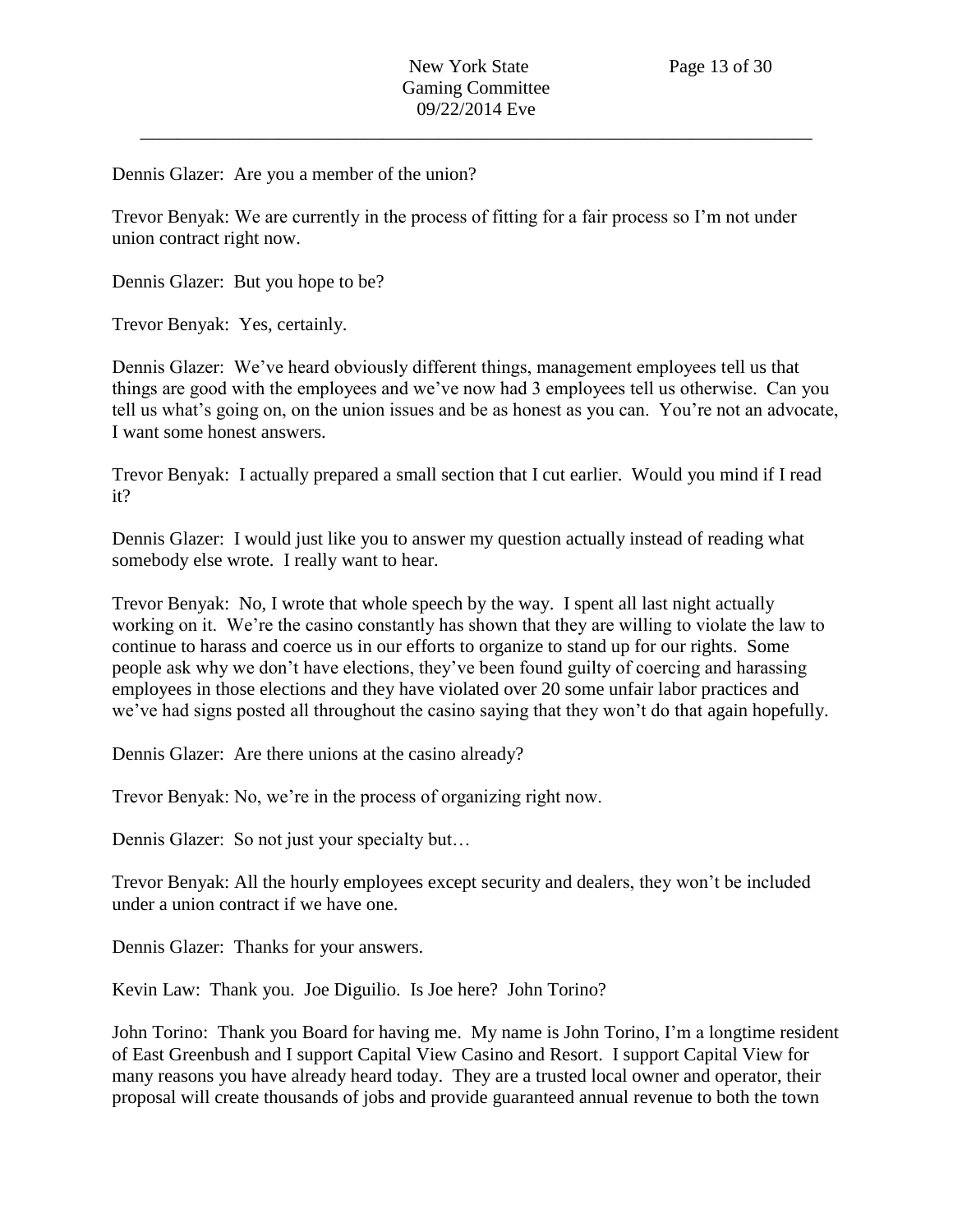Dennis Glazer: Are you a member of the union?

Trevor Benyak: We are currently in the process of fitting for a fair process so I'm not under union contract right now.

Dennis Glazer: But you hope to be?

Trevor Benyak: Yes, certainly.

Dennis Glazer: We've heard obviously different things, management employees tell us that things are good with the employees and we've now had 3 employees tell us otherwise. Can you tell us what's going on, on the union issues and be as honest as you can. You're not an advocate, I want some honest answers.

Trevor Benyak: I actually prepared a small section that I cut earlier. Would you mind if I read it?

Dennis Glazer: I would just like you to answer my question actually instead of reading what somebody else wrote. I really want to hear.

Trevor Benyak: No, I wrote that whole speech by the way. I spent all last night actually working on it. We're the casino constantly has shown that they are willing to violate the law to continue to harass and coerce us in our efforts to organize to stand up for our rights. Some people ask why we don't have elections, they've been found guilty of coercing and harassing employees in those elections and they have violated over 20 some unfair labor practices and we've had signs posted all throughout the casino saying that they won't do that again hopefully.

Dennis Glazer: Are there unions at the casino already?

Trevor Benyak: No, we're in the process of organizing right now.

Dennis Glazer: So not just your specialty but…

Trevor Benyak: All the hourly employees except security and dealers, they won't be included under a union contract if we have one.

Dennis Glazer: Thanks for your answers.

Kevin Law: Thank you. Joe Diguilio. Is Joe here? John Torino?

John Torino: Thank you Board for having me. My name is John Torino, I'm a longtime resident of East Greenbush and I support Capital View Casino and Resort. I support Capital View for many reasons you have already heard today. They are a trusted local owner and operator, their proposal will create thousands of jobs and provide guaranteed annual revenue to both the town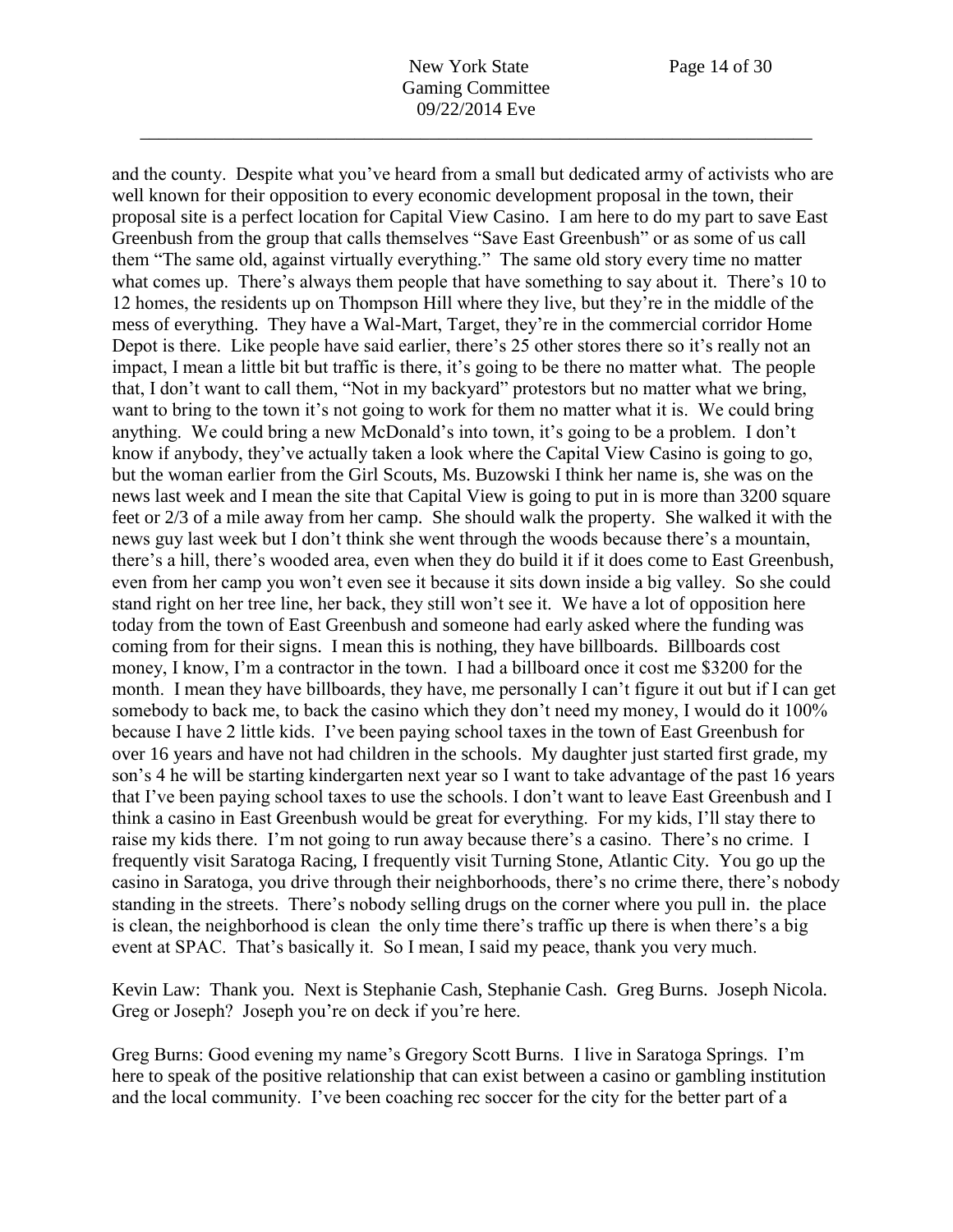and the county. Despite what you've heard from a small but dedicated army of activists who are well known for their opposition to every economic development proposal in the town, their proposal site is a perfect location for Capital View Casino. I am here to do my part to save East Greenbush from the group that calls themselves "Save East Greenbush" or as some of us call them "The same old, against virtually everything." The same old story every time no matter what comes up. There's always them people that have something to say about it. There's 10 to 12 homes, the residents up on Thompson Hill where they live, but they're in the middle of the mess of everything. They have a Wal-Mart, Target, they're in the commercial corridor Home Depot is there. Like people have said earlier, there's 25 other stores there so it's really not an impact, I mean a little bit but traffic is there, it's going to be there no matter what. The people that, I don't want to call them, "Not in my backyard" protestors but no matter what we bring, want to bring to the town it's not going to work for them no matter what it is. We could bring anything. We could bring a new McDonald's into town, it's going to be a problem. I don't know if anybody, they've actually taken a look where the Capital View Casino is going to go, but the woman earlier from the Girl Scouts, Ms. Buzowski I think her name is, she was on the news last week and I mean the site that Capital View is going to put in is more than 3200 square feet or 2/3 of a mile away from her camp. She should walk the property. She walked it with the news guy last week but I don't think she went through the woods because there's a mountain, there's a hill, there's wooded area, even when they do build it if it does come to East Greenbush, even from her camp you won't even see it because it sits down inside a big valley. So she could stand right on her tree line, her back, they still won't see it. We have a lot of opposition here today from the town of East Greenbush and someone had early asked where the funding was coming from for their signs. I mean this is nothing, they have billboards. Billboards cost money, I know, I'm a contractor in the town. I had a billboard once it cost me \$3200 for the month. I mean they have billboards, they have, me personally I can't figure it out but if I can get somebody to back me, to back the casino which they don't need my money, I would do it 100% because I have 2 little kids. I've been paying school taxes in the town of East Greenbush for over 16 years and have not had children in the schools. My daughter just started first grade, my son's 4 he will be starting kindergarten next year so I want to take advantage of the past 16 years that I've been paying school taxes to use the schools. I don't want to leave East Greenbush and I think a casino in East Greenbush would be great for everything. For my kids, I'll stay there to raise my kids there. I'm not going to run away because there's a casino. There's no crime. I frequently visit Saratoga Racing, I frequently visit Turning Stone, Atlantic City. You go up the casino in Saratoga, you drive through their neighborhoods, there's no crime there, there's nobody standing in the streets. There's nobody selling drugs on the corner where you pull in. the place is clean, the neighborhood is clean the only time there's traffic up there is when there's a big event at SPAC. That's basically it. So I mean, I said my peace, thank you very much.

Kevin Law: Thank you. Next is Stephanie Cash, Stephanie Cash. Greg Burns. Joseph Nicola. Greg or Joseph? Joseph you're on deck if you're here.

Greg Burns: Good evening my name's Gregory Scott Burns. I live in Saratoga Springs. I'm here to speak of the positive relationship that can exist between a casino or gambling institution and the local community. I've been coaching rec soccer for the city for the better part of a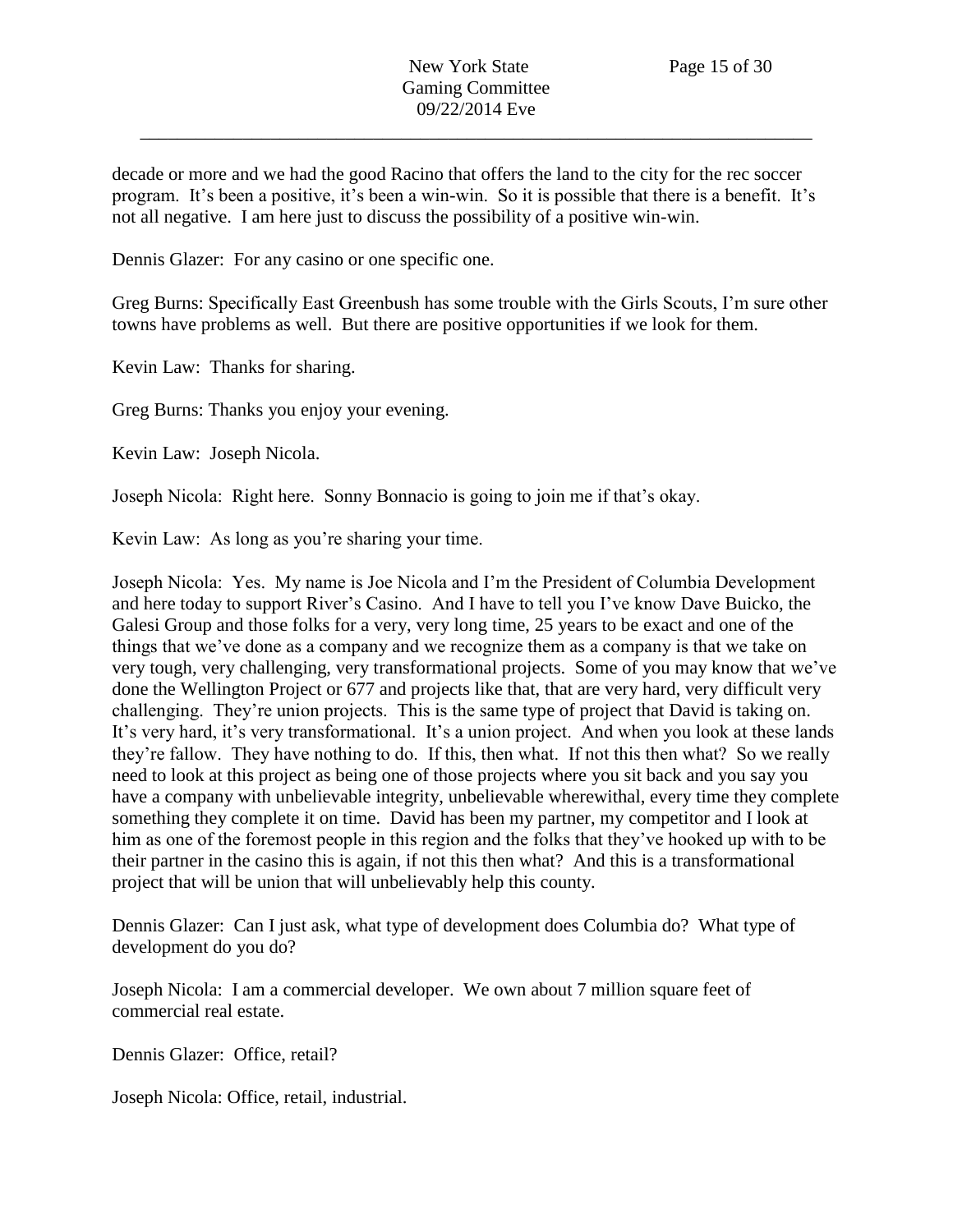decade or more and we had the good Racino that offers the land to the city for the rec soccer program. It's been a positive, it's been a win-win. So it is possible that there is a benefit. It's not all negative. I am here just to discuss the possibility of a positive win-win.

Dennis Glazer: For any casino or one specific one.

Greg Burns: Specifically East Greenbush has some trouble with the Girls Scouts, I'm sure other towns have problems as well. But there are positive opportunities if we look for them.

Kevin Law: Thanks for sharing.

Greg Burns: Thanks you enjoy your evening.

Kevin Law: Joseph Nicola.

Joseph Nicola: Right here. Sonny Bonnacio is going to join me if that's okay.

Kevin Law: As long as you're sharing your time.

Joseph Nicola: Yes. My name is Joe Nicola and I'm the President of Columbia Development and here today to support River's Casino. And I have to tell you I've know Dave Buicko, the Galesi Group and those folks for a very, very long time, 25 years to be exact and one of the things that we've done as a company and we recognize them as a company is that we take on very tough, very challenging, very transformational projects. Some of you may know that we've done the Wellington Project or 677 and projects like that, that are very hard, very difficult very challenging. They're union projects. This is the same type of project that David is taking on. It's very hard, it's very transformational. It's a union project. And when you look at these lands they're fallow. They have nothing to do. If this, then what. If not this then what? So we really need to look at this project as being one of those projects where you sit back and you say you have a company with unbelievable integrity, unbelievable wherewithal, every time they complete something they complete it on time. David has been my partner, my competitor and I look at him as one of the foremost people in this region and the folks that they've hooked up with to be their partner in the casino this is again, if not this then what? And this is a transformational project that will be union that will unbelievably help this county.

Dennis Glazer: Can I just ask, what type of development does Columbia do? What type of development do you do?

Joseph Nicola: I am a commercial developer. We own about 7 million square feet of commercial real estate.

Dennis Glazer: Office, retail?

Joseph Nicola: Office, retail, industrial.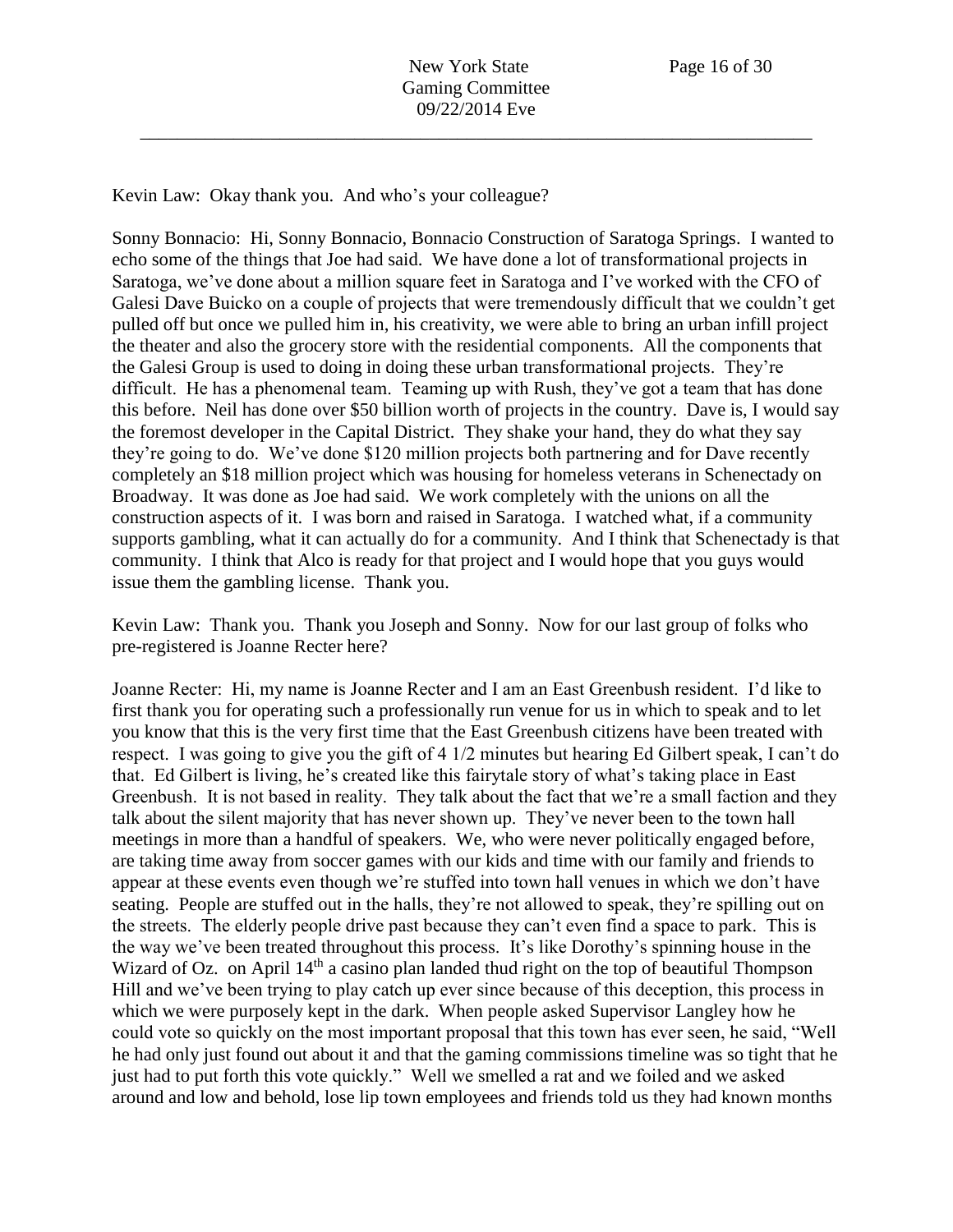Kevin Law: Okay thank you. And who's your colleague?

Sonny Bonnacio: Hi, Sonny Bonnacio, Bonnacio Construction of Saratoga Springs. I wanted to echo some of the things that Joe had said. We have done a lot of transformational projects in Saratoga, we've done about a million square feet in Saratoga and I've worked with the CFO of Galesi Dave Buicko on a couple of projects that were tremendously difficult that we couldn't get pulled off but once we pulled him in, his creativity, we were able to bring an urban infill project the theater and also the grocery store with the residential components. All the components that the Galesi Group is used to doing in doing these urban transformational projects. They're difficult. He has a phenomenal team. Teaming up with Rush, they've got a team that has done this before. Neil has done over \$50 billion worth of projects in the country. Dave is, I would say the foremost developer in the Capital District. They shake your hand, they do what they say they're going to do. We've done \$120 million projects both partnering and for Dave recently completely an \$18 million project which was housing for homeless veterans in Schenectady on Broadway. It was done as Joe had said. We work completely with the unions on all the construction aspects of it. I was born and raised in Saratoga. I watched what, if a community supports gambling, what it can actually do for a community. And I think that Schenectady is that community. I think that Alco is ready for that project and I would hope that you guys would issue them the gambling license. Thank you.

Kevin Law: Thank you. Thank you Joseph and Sonny. Now for our last group of folks who pre-registered is Joanne Recter here?

Joanne Recter: Hi, my name is Joanne Recter and I am an East Greenbush resident. I'd like to first thank you for operating such a professionally run venue for us in which to speak and to let you know that this is the very first time that the East Greenbush citizens have been treated with respect. I was going to give you the gift of 4 1/2 minutes but hearing Ed Gilbert speak, I can't do that. Ed Gilbert is living, he's created like this fairytale story of what's taking place in East Greenbush. It is not based in reality. They talk about the fact that we're a small faction and they talk about the silent majority that has never shown up. They've never been to the town hall meetings in more than a handful of speakers. We, who were never politically engaged before, are taking time away from soccer games with our kids and time with our family and friends to appear at these events even though we're stuffed into town hall venues in which we don't have seating. People are stuffed out in the halls, they're not allowed to speak, they're spilling out on the streets. The elderly people drive past because they can't even find a space to park. This is the way we've been treated throughout this process. It's like Dorothy's spinning house in the Wizard of Oz. on April  $14<sup>th</sup>$  a casino plan landed thud right on the top of beautiful Thompson Hill and we've been trying to play catch up ever since because of this deception, this process in which we were purposely kept in the dark. When people asked Supervisor Langley how he could vote so quickly on the most important proposal that this town has ever seen, he said, "Well he had only just found out about it and that the gaming commissions timeline was so tight that he just had to put forth this vote quickly." Well we smelled a rat and we foiled and we asked around and low and behold, lose lip town employees and friends told us they had known months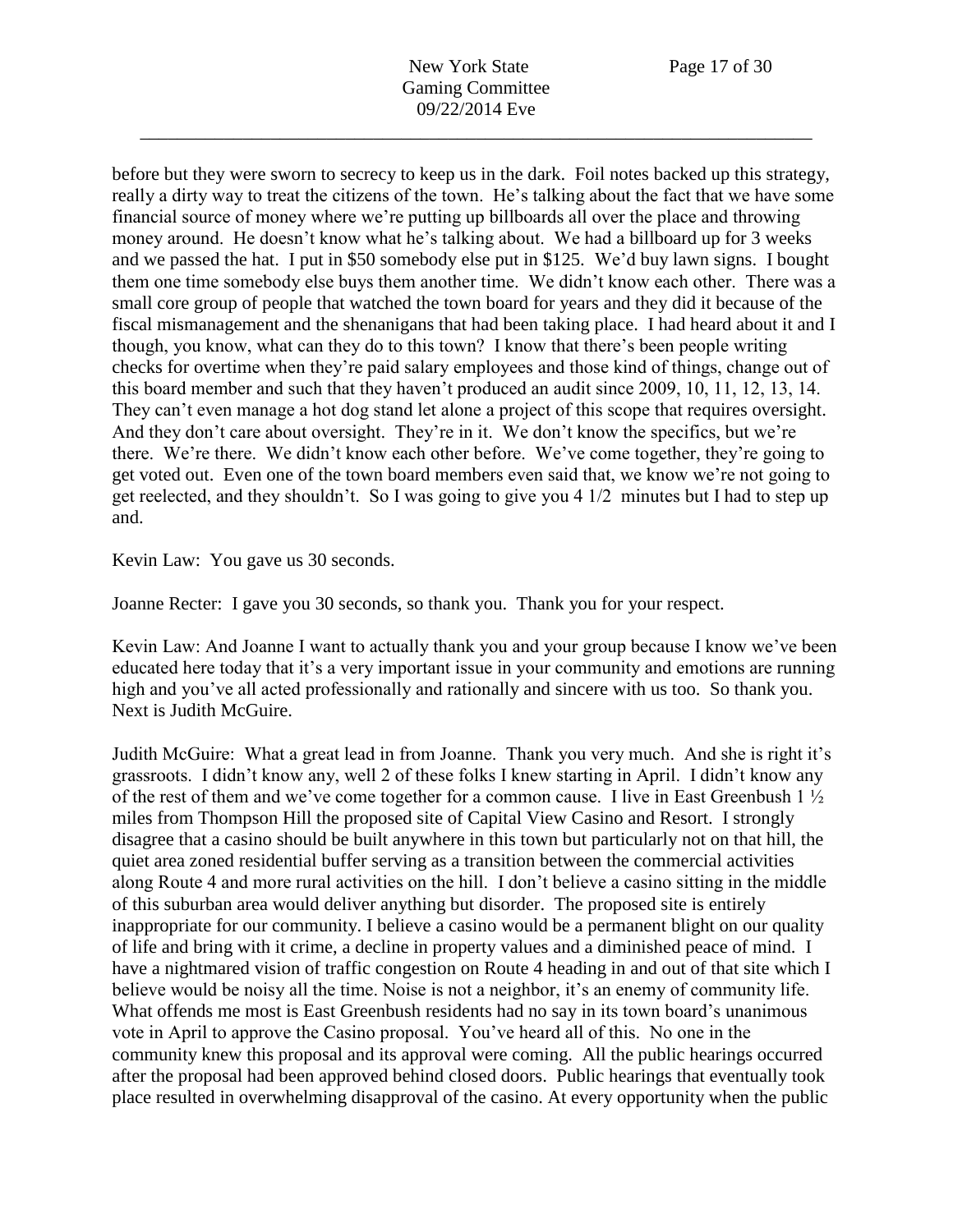before but they were sworn to secrecy to keep us in the dark. Foil notes backed up this strategy, really a dirty way to treat the citizens of the town. He's talking about the fact that we have some financial source of money where we're putting up billboards all over the place and throwing money around. He doesn't know what he's talking about. We had a billboard up for 3 weeks and we passed the hat. I put in \$50 somebody else put in \$125. We'd buy lawn signs. I bought them one time somebody else buys them another time. We didn't know each other. There was a small core group of people that watched the town board for years and they did it because of the fiscal mismanagement and the shenanigans that had been taking place. I had heard about it and I though, you know, what can they do to this town? I know that there's been people writing checks for overtime when they're paid salary employees and those kind of things, change out of this board member and such that they haven't produced an audit since 2009, 10, 11, 12, 13, 14. They can't even manage a hot dog stand let alone a project of this scope that requires oversight. And they don't care about oversight. They're in it. We don't know the specifics, but we're there. We're there. We didn't know each other before. We've come together, they're going to get voted out. Even one of the town board members even said that, we know we're not going to get reelected, and they shouldn't. So I was going to give you 4 1/2 minutes but I had to step up and.

Kevin Law: You gave us 30 seconds.

Joanne Recter: I gave you 30 seconds, so thank you. Thank you for your respect.

Kevin Law: And Joanne I want to actually thank you and your group because I know we've been educated here today that it's a very important issue in your community and emotions are running high and you've all acted professionally and rationally and sincere with us too. So thank you. Next is Judith McGuire.

Judith McGuire: What a great lead in from Joanne. Thank you very much. And she is right it's grassroots. I didn't know any, well 2 of these folks I knew starting in April. I didn't know any of the rest of them and we've come together for a common cause. I live in East Greenbush 1 ½ miles from Thompson Hill the proposed site of Capital View Casino and Resort. I strongly disagree that a casino should be built anywhere in this town but particularly not on that hill, the quiet area zoned residential buffer serving as a transition between the commercial activities along Route 4 and more rural activities on the hill. I don't believe a casino sitting in the middle of this suburban area would deliver anything but disorder. The proposed site is entirely inappropriate for our community. I believe a casino would be a permanent blight on our quality of life and bring with it crime, a decline in property values and a diminished peace of mind. I have a nightmared vision of traffic congestion on Route 4 heading in and out of that site which I believe would be noisy all the time. Noise is not a neighbor, it's an enemy of community life. What offends me most is East Greenbush residents had no say in its town board's unanimous vote in April to approve the Casino proposal. You've heard all of this. No one in the community knew this proposal and its approval were coming. All the public hearings occurred after the proposal had been approved behind closed doors. Public hearings that eventually took place resulted in overwhelming disapproval of the casino. At every opportunity when the public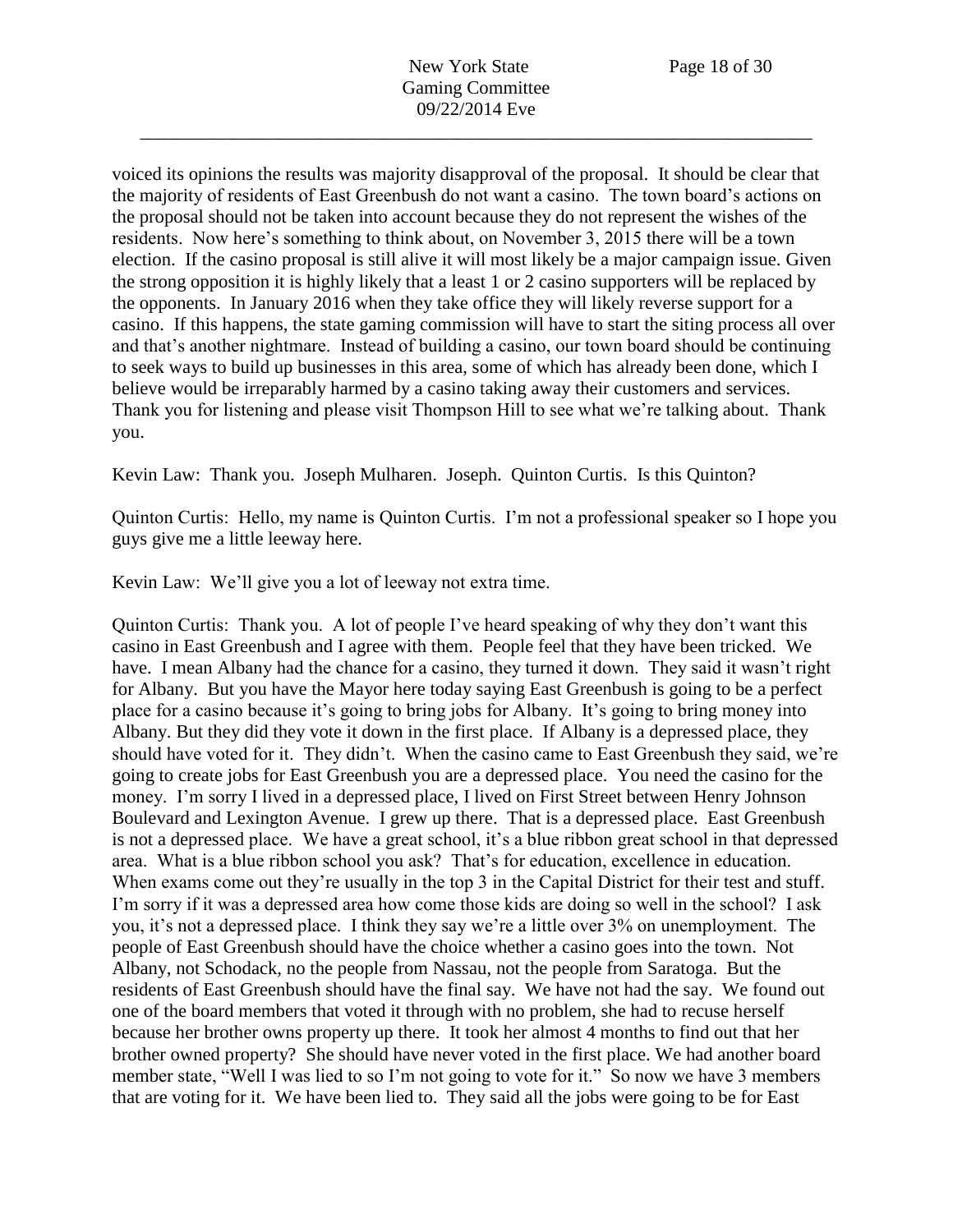voiced its opinions the results was majority disapproval of the proposal. It should be clear that the majority of residents of East Greenbush do not want a casino. The town board's actions on the proposal should not be taken into account because they do not represent the wishes of the residents. Now here's something to think about, on November 3, 2015 there will be a town election. If the casino proposal is still alive it will most likely be a major campaign issue. Given the strong opposition it is highly likely that a least 1 or 2 casino supporters will be replaced by the opponents. In January 2016 when they take office they will likely reverse support for a casino. If this happens, the state gaming commission will have to start the siting process all over and that's another nightmare. Instead of building a casino, our town board should be continuing to seek ways to build up businesses in this area, some of which has already been done, which I believe would be irreparably harmed by a casino taking away their customers and services. Thank you for listening and please visit Thompson Hill to see what we're talking about. Thank you.

Kevin Law: Thank you. Joseph Mulharen. Joseph. Quinton Curtis. Is this Quinton?

Quinton Curtis: Hello, my name is Quinton Curtis. I'm not a professional speaker so I hope you guys give me a little leeway here.

Kevin Law: We'll give you a lot of leeway not extra time.

Quinton Curtis: Thank you. A lot of people I've heard speaking of why they don't want this casino in East Greenbush and I agree with them. People feel that they have been tricked. We have. I mean Albany had the chance for a casino, they turned it down. They said it wasn't right for Albany. But you have the Mayor here today saying East Greenbush is going to be a perfect place for a casino because it's going to bring jobs for Albany. It's going to bring money into Albany. But they did they vote it down in the first place. If Albany is a depressed place, they should have voted for it. They didn't. When the casino came to East Greenbush they said, we're going to create jobs for East Greenbush you are a depressed place. You need the casino for the money. I'm sorry I lived in a depressed place, I lived on First Street between Henry Johnson Boulevard and Lexington Avenue. I grew up there. That is a depressed place. East Greenbush is not a depressed place. We have a great school, it's a blue ribbon great school in that depressed area. What is a blue ribbon school you ask? That's for education, excellence in education. When exams come out they're usually in the top 3 in the Capital District for their test and stuff. I'm sorry if it was a depressed area how come those kids are doing so well in the school? I ask you, it's not a depressed place. I think they say we're a little over 3% on unemployment. The people of East Greenbush should have the choice whether a casino goes into the town. Not Albany, not Schodack, no the people from Nassau, not the people from Saratoga. But the residents of East Greenbush should have the final say. We have not had the say. We found out one of the board members that voted it through with no problem, she had to recuse herself because her brother owns property up there. It took her almost 4 months to find out that her brother owned property? She should have never voted in the first place. We had another board member state, "Well I was lied to so I'm not going to vote for it." So now we have 3 members that are voting for it. We have been lied to. They said all the jobs were going to be for East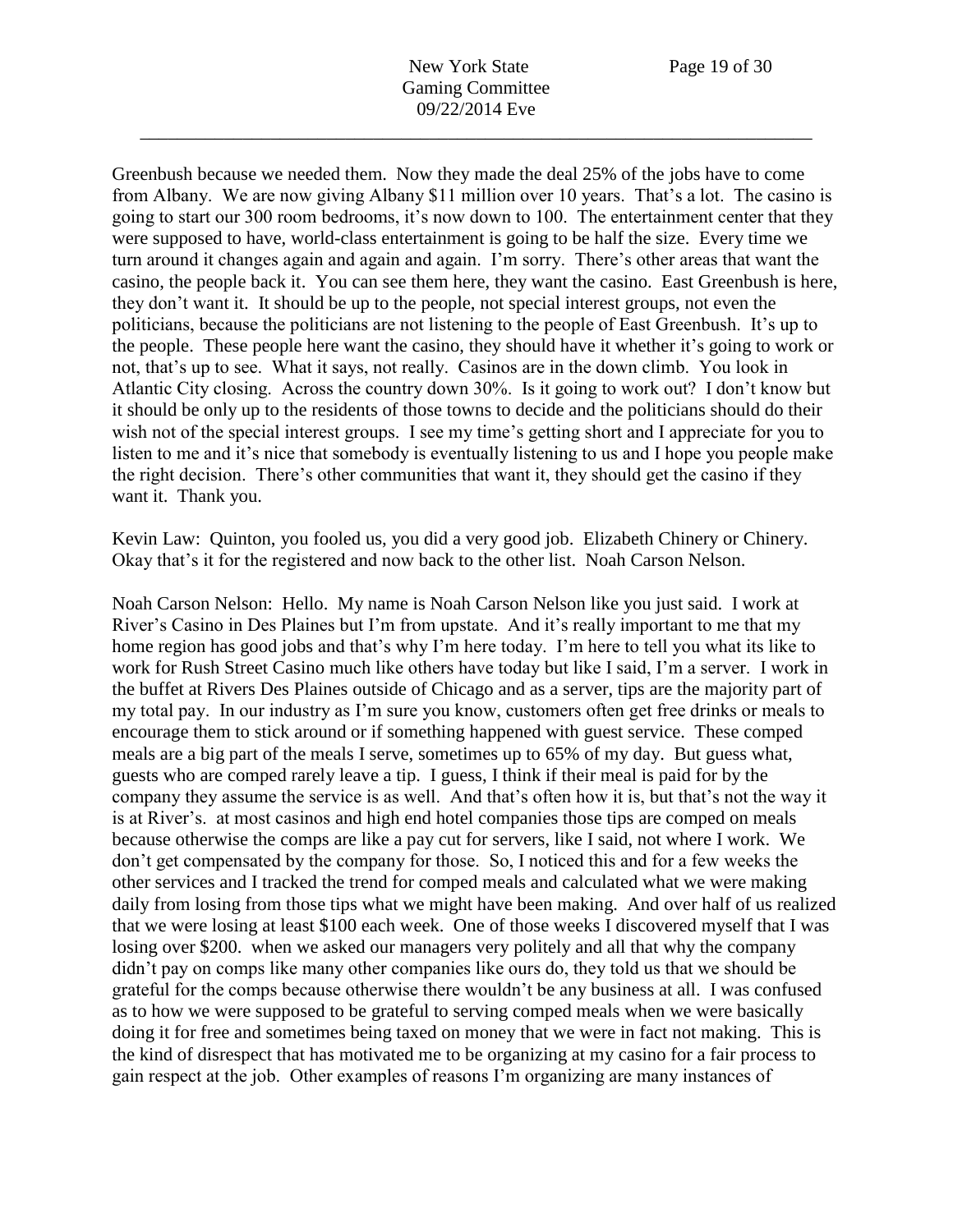New York State Page 19 of 30 Gaming Committee 09/22/2014 Eve

\_\_\_\_\_\_\_\_\_\_\_\_\_\_\_\_\_\_\_\_\_\_\_\_\_\_\_\_\_\_\_\_\_\_\_\_\_\_\_\_\_\_\_\_\_\_\_\_\_\_\_\_\_\_\_\_\_\_\_\_\_\_\_\_\_\_\_\_\_\_\_\_

Greenbush because we needed them. Now they made the deal 25% of the jobs have to come from Albany. We are now giving Albany \$11 million over 10 years. That's a lot. The casino is going to start our 300 room bedrooms, it's now down to 100. The entertainment center that they were supposed to have, world-class entertainment is going to be half the size. Every time we turn around it changes again and again and again. I'm sorry. There's other areas that want the casino, the people back it. You can see them here, they want the casino. East Greenbush is here, they don't want it. It should be up to the people, not special interest groups, not even the politicians, because the politicians are not listening to the people of East Greenbush. It's up to the people. These people here want the casino, they should have it whether it's going to work or not, that's up to see. What it says, not really. Casinos are in the down climb. You look in Atlantic City closing. Across the country down 30%. Is it going to work out? I don't know but it should be only up to the residents of those towns to decide and the politicians should do their wish not of the special interest groups. I see my time's getting short and I appreciate for you to listen to me and it's nice that somebody is eventually listening to us and I hope you people make the right decision. There's other communities that want it, they should get the casino if they want it. Thank you.

Kevin Law: Quinton, you fooled us, you did a very good job. Elizabeth Chinery or Chinery. Okay that's it for the registered and now back to the other list. Noah Carson Nelson.

Noah Carson Nelson: Hello. My name is Noah Carson Nelson like you just said. I work at River's Casino in Des Plaines but I'm from upstate. And it's really important to me that my home region has good jobs and that's why I'm here today. I'm here to tell you what its like to work for Rush Street Casino much like others have today but like I said, I'm a server. I work in the buffet at Rivers Des Plaines outside of Chicago and as a server, tips are the majority part of my total pay. In our industry as I'm sure you know, customers often get free drinks or meals to encourage them to stick around or if something happened with guest service. These comped meals are a big part of the meals I serve, sometimes up to 65% of my day. But guess what, guests who are comped rarely leave a tip. I guess, I think if their meal is paid for by the company they assume the service is as well. And that's often how it is, but that's not the way it is at River's. at most casinos and high end hotel companies those tips are comped on meals because otherwise the comps are like a pay cut for servers, like I said, not where I work. We don't get compensated by the company for those. So, I noticed this and for a few weeks the other services and I tracked the trend for comped meals and calculated what we were making daily from losing from those tips what we might have been making. And over half of us realized that we were losing at least \$100 each week. One of those weeks I discovered myself that I was losing over \$200. when we asked our managers very politely and all that why the company didn't pay on comps like many other companies like ours do, they told us that we should be grateful for the comps because otherwise there wouldn't be any business at all. I was confused as to how we were supposed to be grateful to serving comped meals when we were basically doing it for free and sometimes being taxed on money that we were in fact not making. This is the kind of disrespect that has motivated me to be organizing at my casino for a fair process to gain respect at the job. Other examples of reasons I'm organizing are many instances of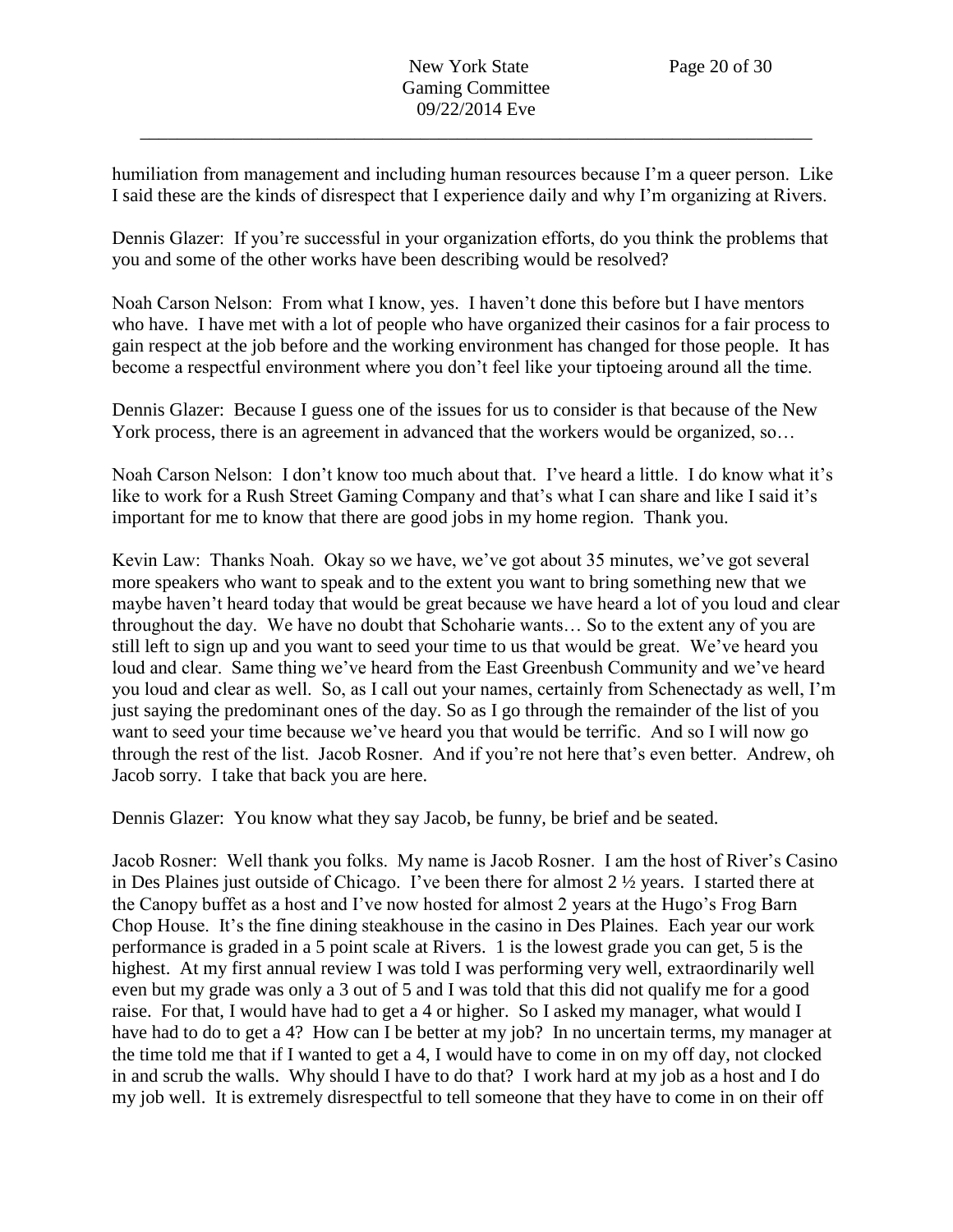humiliation from management and including human resources because I'm a queer person. Like I said these are the kinds of disrespect that I experience daily and why I'm organizing at Rivers.

Dennis Glazer: If you're successful in your organization efforts, do you think the problems that you and some of the other works have been describing would be resolved?

Noah Carson Nelson: From what I know, yes. I haven't done this before but I have mentors who have. I have met with a lot of people who have organized their casinos for a fair process to gain respect at the job before and the working environment has changed for those people. It has become a respectful environment where you don't feel like your tiptoeing around all the time.

Dennis Glazer: Because I guess one of the issues for us to consider is that because of the New York process, there is an agreement in advanced that the workers would be organized, so…

Noah Carson Nelson: I don't know too much about that. I've heard a little. I do know what it's like to work for a Rush Street Gaming Company and that's what I can share and like I said it's important for me to know that there are good jobs in my home region. Thank you.

Kevin Law: Thanks Noah. Okay so we have, we've got about 35 minutes, we've got several more speakers who want to speak and to the extent you want to bring something new that we maybe haven't heard today that would be great because we have heard a lot of you loud and clear throughout the day. We have no doubt that Schoharie wants… So to the extent any of you are still left to sign up and you want to seed your time to us that would be great. We've heard you loud and clear. Same thing we've heard from the East Greenbush Community and we've heard you loud and clear as well. So, as I call out your names, certainly from Schenectady as well, I'm just saying the predominant ones of the day. So as I go through the remainder of the list of you want to seed your time because we've heard you that would be terrific. And so I will now go through the rest of the list. Jacob Rosner. And if you're not here that's even better. Andrew, oh Jacob sorry. I take that back you are here.

Dennis Glazer: You know what they say Jacob, be funny, be brief and be seated.

Jacob Rosner: Well thank you folks. My name is Jacob Rosner. I am the host of River's Casino in Des Plaines just outside of Chicago. I've been there for almost 2 ½ years. I started there at the Canopy buffet as a host and I've now hosted for almost 2 years at the Hugo's Frog Barn Chop House. It's the fine dining steakhouse in the casino in Des Plaines. Each year our work performance is graded in a 5 point scale at Rivers. 1 is the lowest grade you can get, 5 is the highest. At my first annual review I was told I was performing very well, extraordinarily well even but my grade was only a 3 out of 5 and I was told that this did not qualify me for a good raise. For that, I would have had to get a 4 or higher. So I asked my manager, what would I have had to do to get a 4? How can I be better at my job? In no uncertain terms, my manager at the time told me that if I wanted to get a 4, I would have to come in on my off day, not clocked in and scrub the walls. Why should I have to do that? I work hard at my job as a host and I do my job well. It is extremely disrespectful to tell someone that they have to come in on their off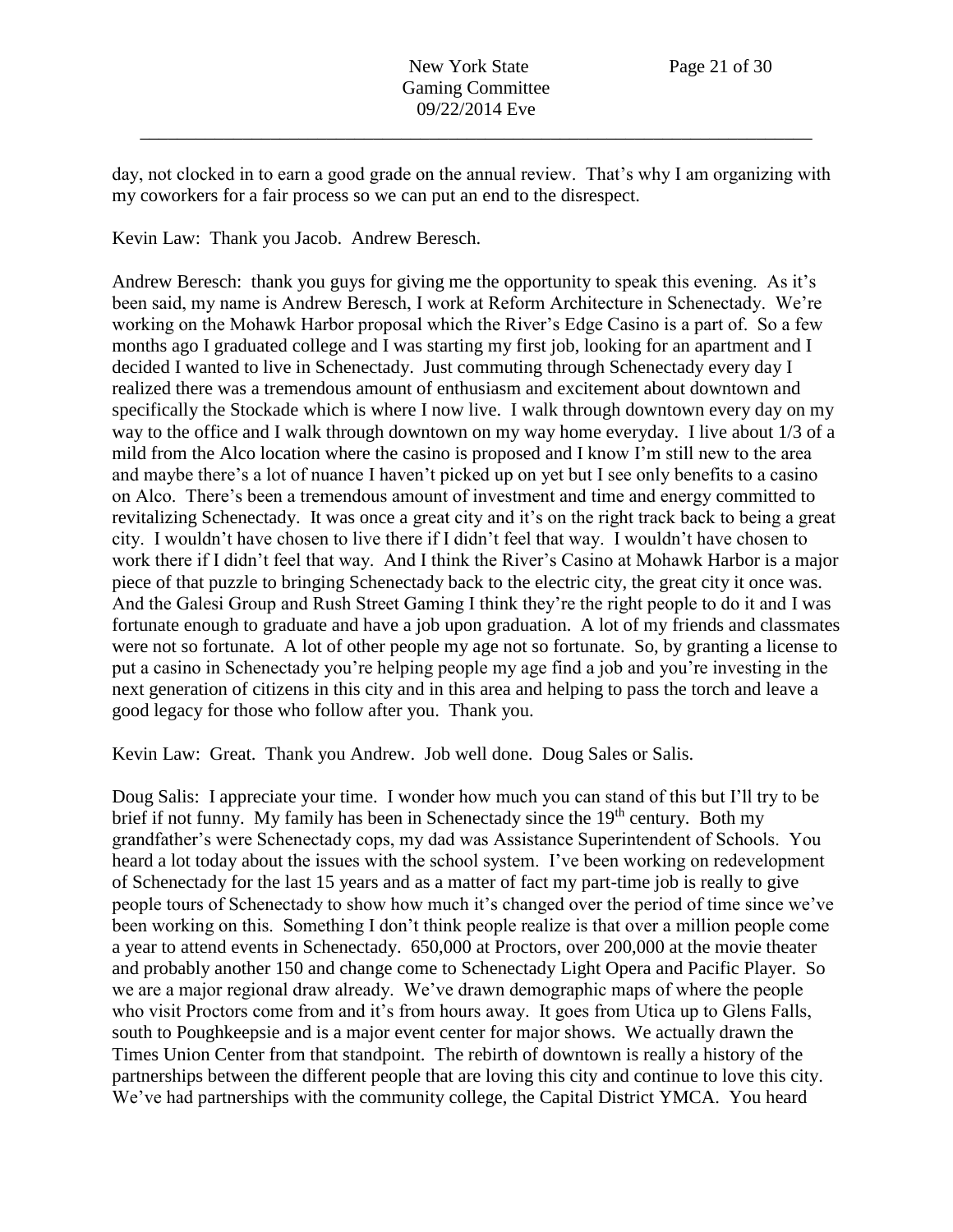day, not clocked in to earn a good grade on the annual review. That's why I am organizing with my coworkers for a fair process so we can put an end to the disrespect.

Kevin Law: Thank you Jacob. Andrew Beresch.

Andrew Beresch: thank you guys for giving me the opportunity to speak this evening. As it's been said, my name is Andrew Beresch, I work at Reform Architecture in Schenectady. We're working on the Mohawk Harbor proposal which the River's Edge Casino is a part of. So a few months ago I graduated college and I was starting my first job, looking for an apartment and I decided I wanted to live in Schenectady. Just commuting through Schenectady every day I realized there was a tremendous amount of enthusiasm and excitement about downtown and specifically the Stockade which is where I now live. I walk through downtown every day on my way to the office and I walk through downtown on my way home everyday. I live about 1/3 of a mild from the Alco location where the casino is proposed and I know I'm still new to the area and maybe there's a lot of nuance I haven't picked up on yet but I see only benefits to a casino on Alco. There's been a tremendous amount of investment and time and energy committed to revitalizing Schenectady. It was once a great city and it's on the right track back to being a great city. I wouldn't have chosen to live there if I didn't feel that way. I wouldn't have chosen to work there if I didn't feel that way. And I think the River's Casino at Mohawk Harbor is a major piece of that puzzle to bringing Schenectady back to the electric city, the great city it once was. And the Galesi Group and Rush Street Gaming I think they're the right people to do it and I was fortunate enough to graduate and have a job upon graduation. A lot of my friends and classmates were not so fortunate. A lot of other people my age not so fortunate. So, by granting a license to put a casino in Schenectady you're helping people my age find a job and you're investing in the next generation of citizens in this city and in this area and helping to pass the torch and leave a good legacy for those who follow after you. Thank you.

Kevin Law: Great. Thank you Andrew. Job well done. Doug Sales or Salis.

Doug Salis: I appreciate your time. I wonder how much you can stand of this but I'll try to be brief if not funny. My family has been in Schenectady since the 19<sup>th</sup> century. Both my grandfather's were Schenectady cops, my dad was Assistance Superintendent of Schools. You heard a lot today about the issues with the school system. I've been working on redevelopment of Schenectady for the last 15 years and as a matter of fact my part-time job is really to give people tours of Schenectady to show how much it's changed over the period of time since we've been working on this. Something I don't think people realize is that over a million people come a year to attend events in Schenectady. 650,000 at Proctors, over 200,000 at the movie theater and probably another 150 and change come to Schenectady Light Opera and Pacific Player. So we are a major regional draw already. We've drawn demographic maps of where the people who visit Proctors come from and it's from hours away. It goes from Utica up to Glens Falls, south to Poughkeepsie and is a major event center for major shows. We actually drawn the Times Union Center from that standpoint. The rebirth of downtown is really a history of the partnerships between the different people that are loving this city and continue to love this city. We've had partnerships with the community college, the Capital District YMCA. You heard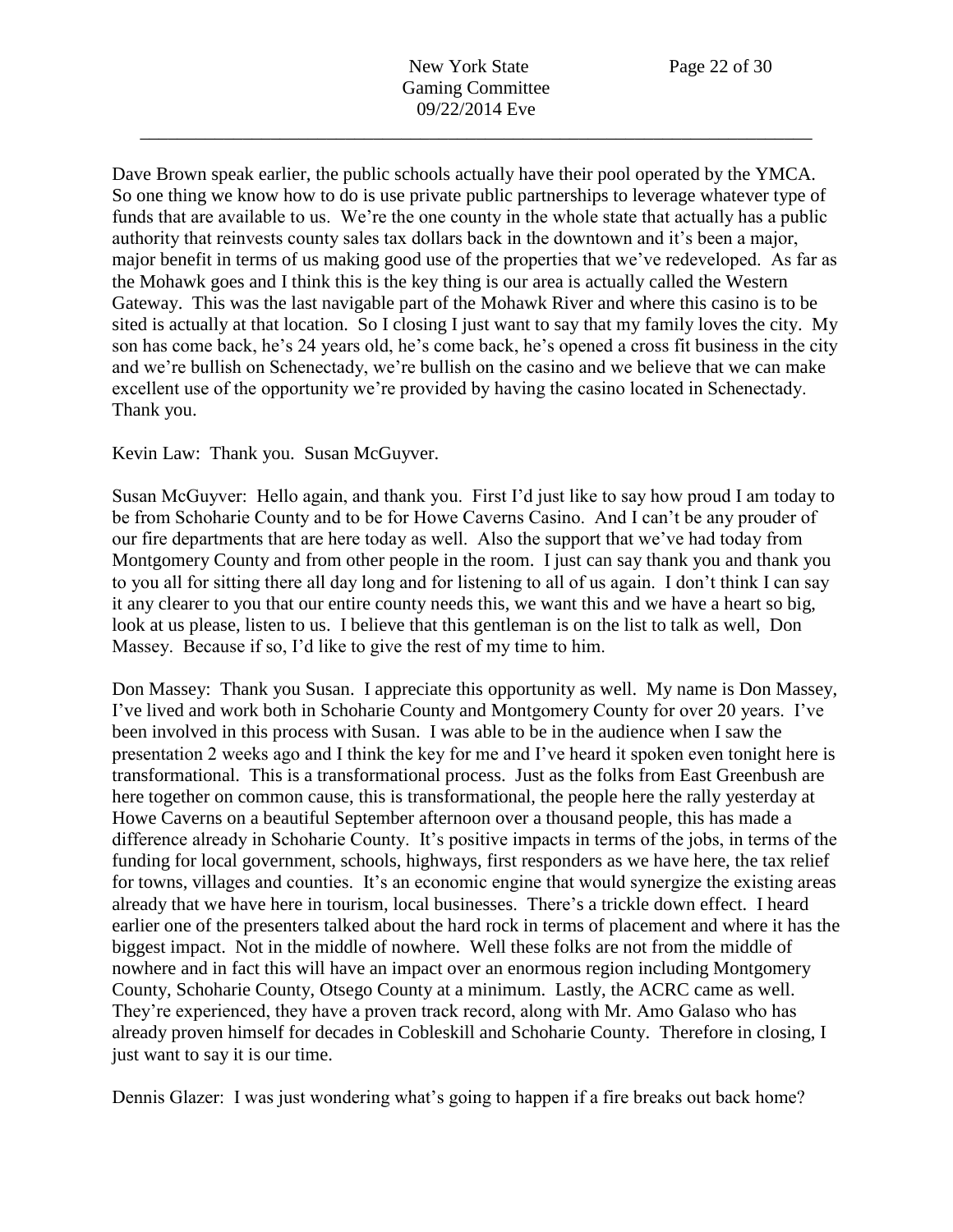Dave Brown speak earlier, the public schools actually have their pool operated by the YMCA. So one thing we know how to do is use private public partnerships to leverage whatever type of funds that are available to us. We're the one county in the whole state that actually has a public authority that reinvests county sales tax dollars back in the downtown and it's been a major, major benefit in terms of us making good use of the properties that we've redeveloped. As far as the Mohawk goes and I think this is the key thing is our area is actually called the Western Gateway. This was the last navigable part of the Mohawk River and where this casino is to be sited is actually at that location. So I closing I just want to say that my family loves the city. My son has come back, he's 24 years old, he's come back, he's opened a cross fit business in the city and we're bullish on Schenectady, we're bullish on the casino and we believe that we can make excellent use of the opportunity we're provided by having the casino located in Schenectady. Thank you.

Kevin Law: Thank you. Susan McGuyver.

Susan McGuyver: Hello again, and thank you. First I'd just like to say how proud I am today to be from Schoharie County and to be for Howe Caverns Casino. And I can't be any prouder of our fire departments that are here today as well. Also the support that we've had today from Montgomery County and from other people in the room. I just can say thank you and thank you to you all for sitting there all day long and for listening to all of us again. I don't think I can say it any clearer to you that our entire county needs this, we want this and we have a heart so big, look at us please, listen to us. I believe that this gentleman is on the list to talk as well, Don Massey. Because if so, I'd like to give the rest of my time to him.

Don Massey: Thank you Susan. I appreciate this opportunity as well. My name is Don Massey, I've lived and work both in Schoharie County and Montgomery County for over 20 years. I've been involved in this process with Susan. I was able to be in the audience when I saw the presentation 2 weeks ago and I think the key for me and I've heard it spoken even tonight here is transformational. This is a transformational process. Just as the folks from East Greenbush are here together on common cause, this is transformational, the people here the rally yesterday at Howe Caverns on a beautiful September afternoon over a thousand people, this has made a difference already in Schoharie County. It's positive impacts in terms of the jobs, in terms of the funding for local government, schools, highways, first responders as we have here, the tax relief for towns, villages and counties. It's an economic engine that would synergize the existing areas already that we have here in tourism, local businesses. There's a trickle down effect. I heard earlier one of the presenters talked about the hard rock in terms of placement and where it has the biggest impact. Not in the middle of nowhere. Well these folks are not from the middle of nowhere and in fact this will have an impact over an enormous region including Montgomery County, Schoharie County, Otsego County at a minimum. Lastly, the ACRC came as well. They're experienced, they have a proven track record, along with Mr. Amo Galaso who has already proven himself for decades in Cobleskill and Schoharie County. Therefore in closing, I just want to say it is our time.

Dennis Glazer: I was just wondering what's going to happen if a fire breaks out back home?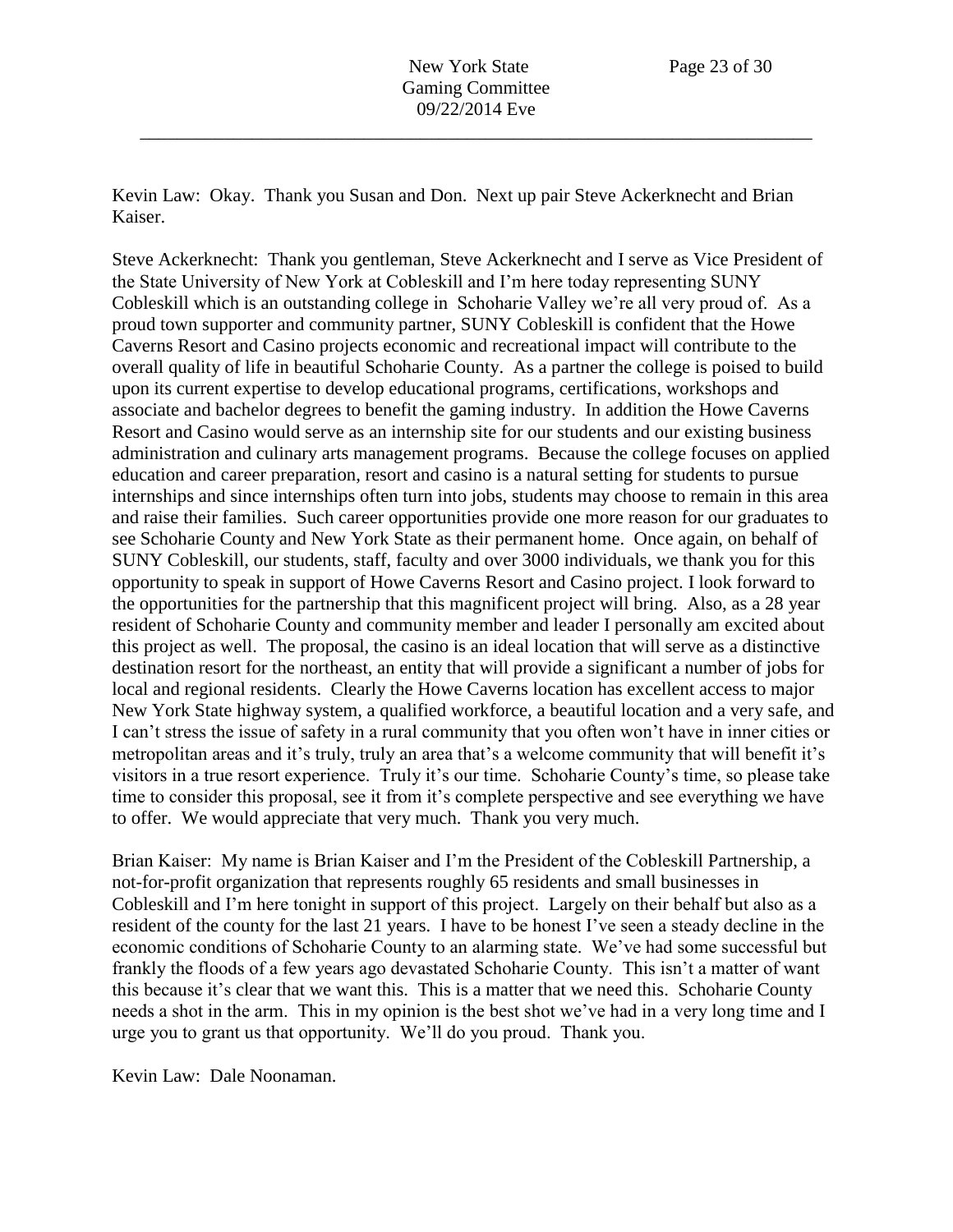Kevin Law: Okay. Thank you Susan and Don. Next up pair Steve Ackerknecht and Brian Kaiser.

Steve Ackerknecht: Thank you gentleman, Steve Ackerknecht and I serve as Vice President of the State University of New York at Cobleskill and I'm here today representing SUNY Cobleskill which is an outstanding college in Schoharie Valley we're all very proud of. As a proud town supporter and community partner, SUNY Cobleskill is confident that the Howe Caverns Resort and Casino projects economic and recreational impact will contribute to the overall quality of life in beautiful Schoharie County. As a partner the college is poised to build upon its current expertise to develop educational programs, certifications, workshops and associate and bachelor degrees to benefit the gaming industry. In addition the Howe Caverns Resort and Casino would serve as an internship site for our students and our existing business administration and culinary arts management programs. Because the college focuses on applied education and career preparation, resort and casino is a natural setting for students to pursue internships and since internships often turn into jobs, students may choose to remain in this area and raise their families. Such career opportunities provide one more reason for our graduates to see Schoharie County and New York State as their permanent home. Once again, on behalf of SUNY Cobleskill, our students, staff, faculty and over 3000 individuals, we thank you for this opportunity to speak in support of Howe Caverns Resort and Casino project. I look forward to the opportunities for the partnership that this magnificent project will bring. Also, as a 28 year resident of Schoharie County and community member and leader I personally am excited about this project as well. The proposal, the casino is an ideal location that will serve as a distinctive destination resort for the northeast, an entity that will provide a significant a number of jobs for local and regional residents. Clearly the Howe Caverns location has excellent access to major New York State highway system, a qualified workforce, a beautiful location and a very safe, and I can't stress the issue of safety in a rural community that you often won't have in inner cities or metropolitan areas and it's truly, truly an area that's a welcome community that will benefit it's visitors in a true resort experience. Truly it's our time. Schoharie County's time, so please take time to consider this proposal, see it from it's complete perspective and see everything we have to offer. We would appreciate that very much. Thank you very much.

Brian Kaiser: My name is Brian Kaiser and I'm the President of the Cobleskill Partnership, a not-for-profit organization that represents roughly 65 residents and small businesses in Cobleskill and I'm here tonight in support of this project. Largely on their behalf but also as a resident of the county for the last 21 years. I have to be honest I've seen a steady decline in the economic conditions of Schoharie County to an alarming state. We've had some successful but frankly the floods of a few years ago devastated Schoharie County. This isn't a matter of want this because it's clear that we want this. This is a matter that we need this. Schoharie County needs a shot in the arm. This in my opinion is the best shot we've had in a very long time and I urge you to grant us that opportunity. We'll do you proud. Thank you.

Kevin Law: Dale Noonaman.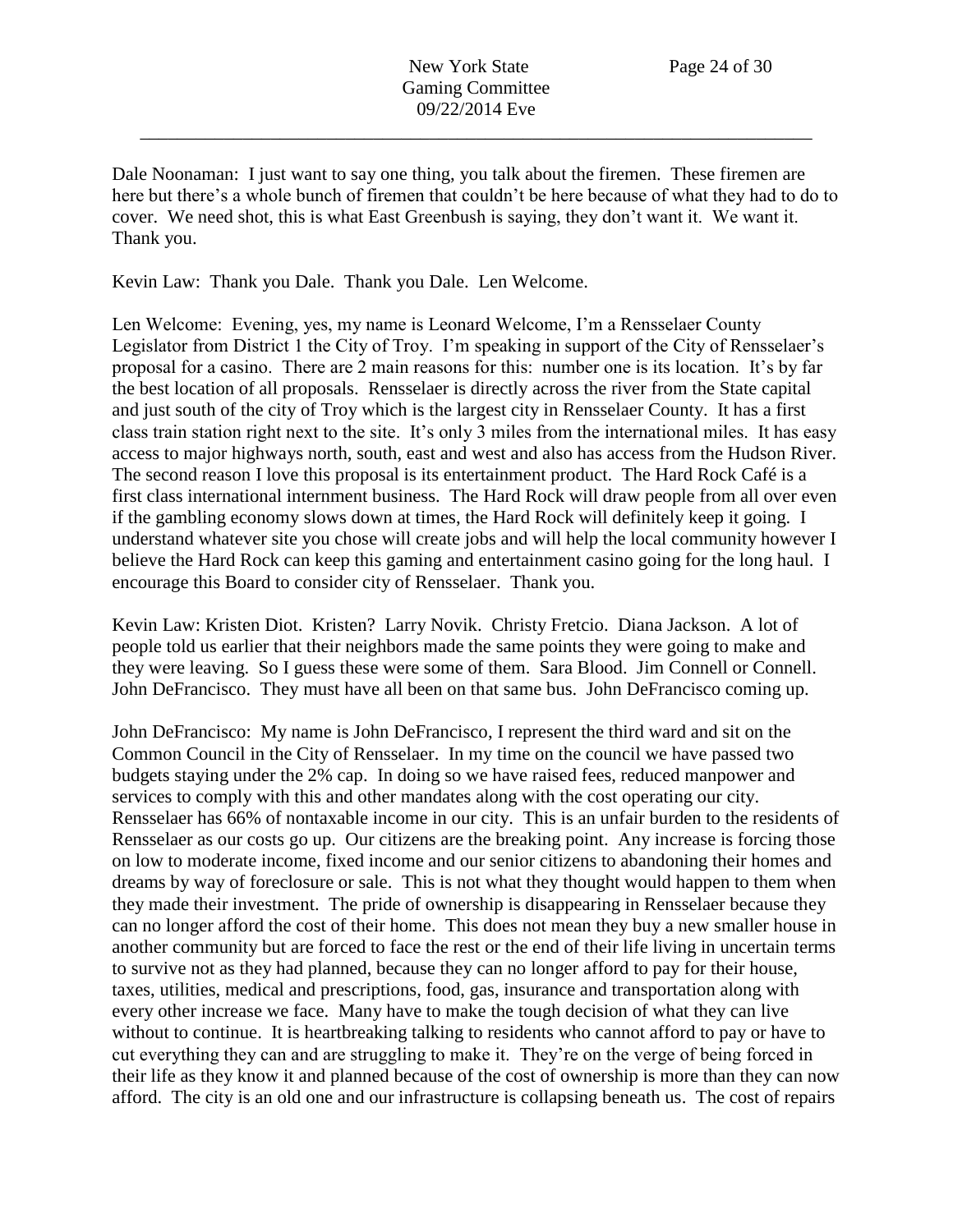Dale Noonaman: I just want to say one thing, you talk about the firemen. These firemen are here but there's a whole bunch of firemen that couldn't be here because of what they had to do to cover. We need shot, this is what East Greenbush is saying, they don't want it. We want it. Thank you.

Kevin Law: Thank you Dale. Thank you Dale. Len Welcome.

Len Welcome: Evening, yes, my name is Leonard Welcome, I'm a Rensselaer County Legislator from District 1 the City of Troy. I'm speaking in support of the City of Rensselaer's proposal for a casino. There are 2 main reasons for this: number one is its location. It's by far the best location of all proposals. Rensselaer is directly across the river from the State capital and just south of the city of Troy which is the largest city in Rensselaer County. It has a first class train station right next to the site. It's only 3 miles from the international miles. It has easy access to major highways north, south, east and west and also has access from the Hudson River. The second reason I love this proposal is its entertainment product. The Hard Rock Café is a first class international internment business. The Hard Rock will draw people from all over even if the gambling economy slows down at times, the Hard Rock will definitely keep it going. I understand whatever site you chose will create jobs and will help the local community however I believe the Hard Rock can keep this gaming and entertainment casino going for the long haul. I encourage this Board to consider city of Rensselaer. Thank you.

Kevin Law: Kristen Diot. Kristen? Larry Novik. Christy Fretcio. Diana Jackson. A lot of people told us earlier that their neighbors made the same points they were going to make and they were leaving. So I guess these were some of them. Sara Blood. Jim Connell or Connell. John DeFrancisco. They must have all been on that same bus. John DeFrancisco coming up.

John DeFrancisco: My name is John DeFrancisco, I represent the third ward and sit on the Common Council in the City of Rensselaer. In my time on the council we have passed two budgets staying under the 2% cap. In doing so we have raised fees, reduced manpower and services to comply with this and other mandates along with the cost operating our city. Rensselaer has 66% of nontaxable income in our city. This is an unfair burden to the residents of Rensselaer as our costs go up. Our citizens are the breaking point. Any increase is forcing those on low to moderate income, fixed income and our senior citizens to abandoning their homes and dreams by way of foreclosure or sale. This is not what they thought would happen to them when they made their investment. The pride of ownership is disappearing in Rensselaer because they can no longer afford the cost of their home. This does not mean they buy a new smaller house in another community but are forced to face the rest or the end of their life living in uncertain terms to survive not as they had planned, because they can no longer afford to pay for their house, taxes, utilities, medical and prescriptions, food, gas, insurance and transportation along with every other increase we face. Many have to make the tough decision of what they can live without to continue. It is heartbreaking talking to residents who cannot afford to pay or have to cut everything they can and are struggling to make it. They're on the verge of being forced in their life as they know it and planned because of the cost of ownership is more than they can now afford. The city is an old one and our infrastructure is collapsing beneath us. The cost of repairs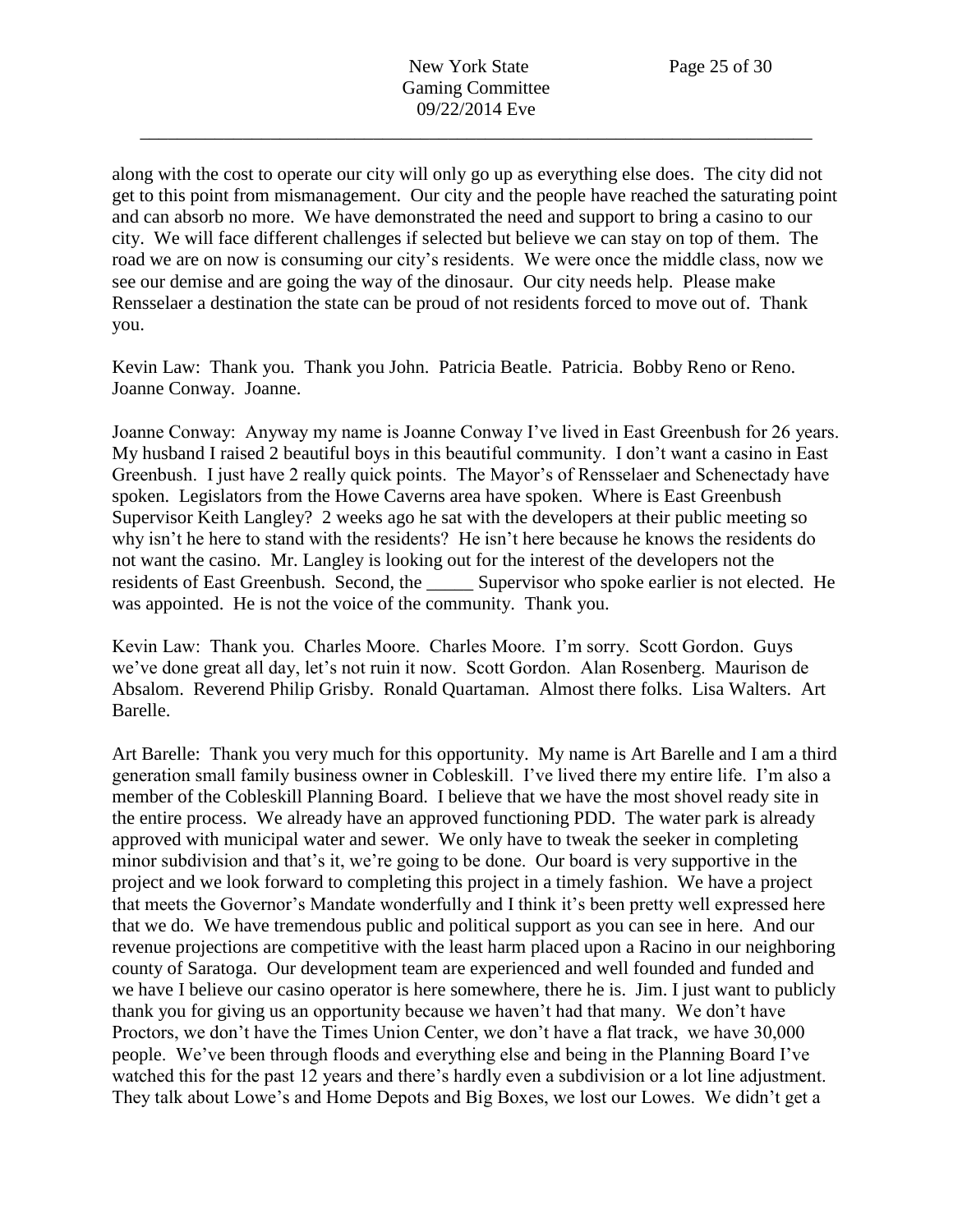along with the cost to operate our city will only go up as everything else does. The city did not get to this point from mismanagement. Our city and the people have reached the saturating point and can absorb no more. We have demonstrated the need and support to bring a casino to our city. We will face different challenges if selected but believe we can stay on top of them. The road we are on now is consuming our city's residents. We were once the middle class, now we see our demise and are going the way of the dinosaur. Our city needs help. Please make Rensselaer a destination the state can be proud of not residents forced to move out of. Thank you.

\_\_\_\_\_\_\_\_\_\_\_\_\_\_\_\_\_\_\_\_\_\_\_\_\_\_\_\_\_\_\_\_\_\_\_\_\_\_\_\_\_\_\_\_\_\_\_\_\_\_\_\_\_\_\_\_\_\_\_\_\_\_\_\_\_\_\_\_\_\_\_\_

Kevin Law: Thank you. Thank you John. Patricia Beatle. Patricia. Bobby Reno or Reno. Joanne Conway. Joanne.

Joanne Conway: Anyway my name is Joanne Conway I've lived in East Greenbush for 26 years. My husband I raised 2 beautiful boys in this beautiful community. I don't want a casino in East Greenbush. I just have 2 really quick points. The Mayor's of Rensselaer and Schenectady have spoken. Legislators from the Howe Caverns area have spoken. Where is East Greenbush Supervisor Keith Langley? 2 weeks ago he sat with the developers at their public meeting so why isn't he here to stand with the residents? He isn't here because he knows the residents do not want the casino. Mr. Langley is looking out for the interest of the developers not the residents of East Greenbush. Second, the Supervisor who spoke earlier is not elected. He was appointed. He is not the voice of the community. Thank you.

Kevin Law: Thank you. Charles Moore. Charles Moore. I'm sorry. Scott Gordon. Guys we've done great all day, let's not ruin it now. Scott Gordon. Alan Rosenberg. Maurison de Absalom. Reverend Philip Grisby. Ronald Quartaman. Almost there folks. Lisa Walters. Art Barelle.

Art Barelle: Thank you very much for this opportunity. My name is Art Barelle and I am a third generation small family business owner in Cobleskill. I've lived there my entire life. I'm also a member of the Cobleskill Planning Board. I believe that we have the most shovel ready site in the entire process. We already have an approved functioning PDD. The water park is already approved with municipal water and sewer. We only have to tweak the seeker in completing minor subdivision and that's it, we're going to be done. Our board is very supportive in the project and we look forward to completing this project in a timely fashion. We have a project that meets the Governor's Mandate wonderfully and I think it's been pretty well expressed here that we do. We have tremendous public and political support as you can see in here. And our revenue projections are competitive with the least harm placed upon a Racino in our neighboring county of Saratoga. Our development team are experienced and well founded and funded and we have I believe our casino operator is here somewhere, there he is. Jim. I just want to publicly thank you for giving us an opportunity because we haven't had that many. We don't have Proctors, we don't have the Times Union Center, we don't have a flat track, we have 30,000 people. We've been through floods and everything else and being in the Planning Board I've watched this for the past 12 years and there's hardly even a subdivision or a lot line adjustment. They talk about Lowe's and Home Depots and Big Boxes, we lost our Lowes. We didn't get a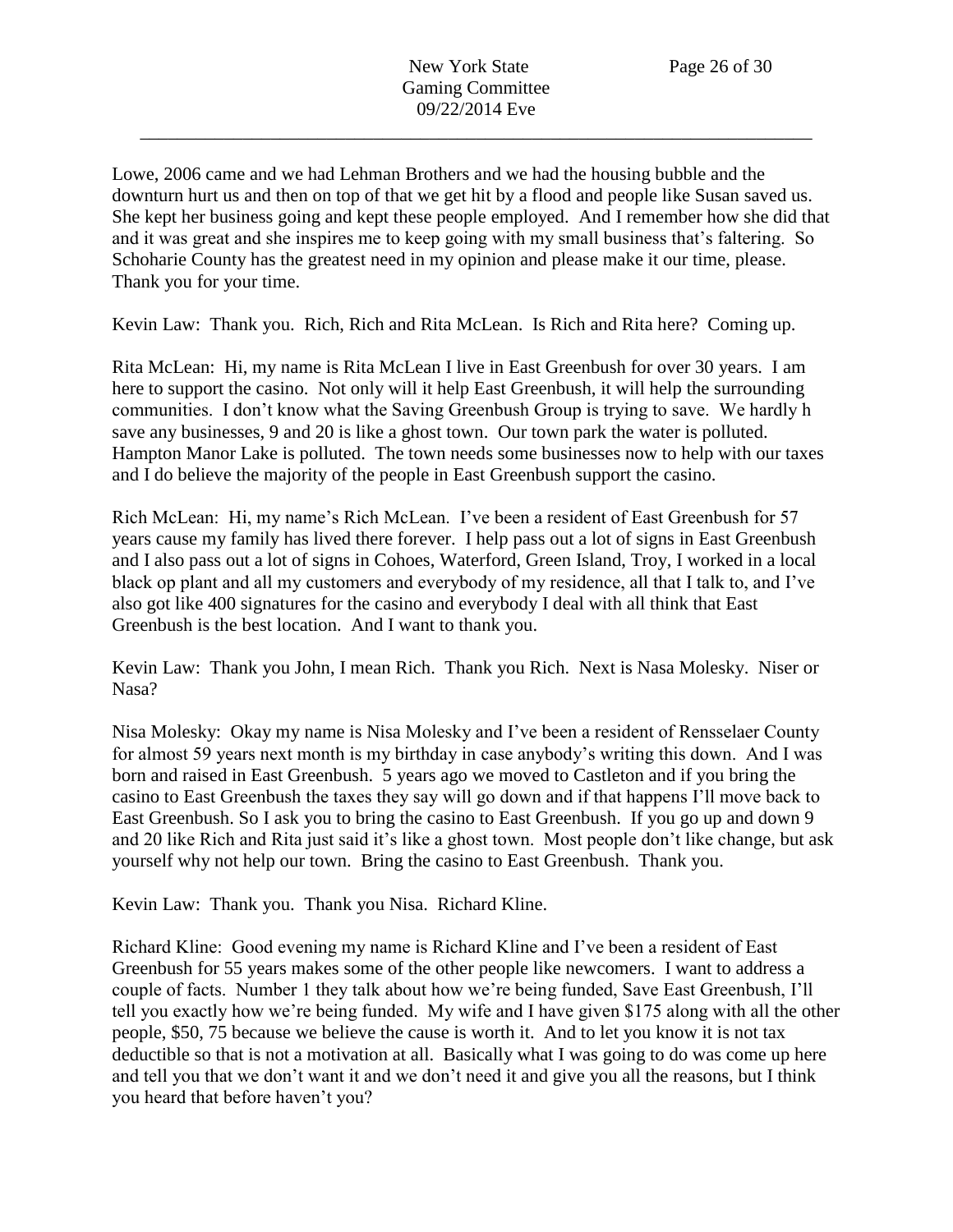Lowe, 2006 came and we had Lehman Brothers and we had the housing bubble and the downturn hurt us and then on top of that we get hit by a flood and people like Susan saved us. She kept her business going and kept these people employed. And I remember how she did that and it was great and she inspires me to keep going with my small business that's faltering. So Schoharie County has the greatest need in my opinion and please make it our time, please. Thank you for your time.

Kevin Law: Thank you. Rich, Rich and Rita McLean. Is Rich and Rita here? Coming up.

Rita McLean: Hi, my name is Rita McLean I live in East Greenbush for over 30 years. I am here to support the casino. Not only will it help East Greenbush, it will help the surrounding communities. I don't know what the Saving Greenbush Group is trying to save. We hardly h save any businesses, 9 and 20 is like a ghost town. Our town park the water is polluted. Hampton Manor Lake is polluted. The town needs some businesses now to help with our taxes and I do believe the majority of the people in East Greenbush support the casino.

Rich McLean: Hi, my name's Rich McLean. I've been a resident of East Greenbush for 57 years cause my family has lived there forever. I help pass out a lot of signs in East Greenbush and I also pass out a lot of signs in Cohoes, Waterford, Green Island, Troy, I worked in a local black op plant and all my customers and everybody of my residence, all that I talk to, and I've also got like 400 signatures for the casino and everybody I deal with all think that East Greenbush is the best location. And I want to thank you.

Kevin Law: Thank you John, I mean Rich. Thank you Rich. Next is Nasa Molesky. Niser or Nasa?

Nisa Molesky: Okay my name is Nisa Molesky and I've been a resident of Rensselaer County for almost 59 years next month is my birthday in case anybody's writing this down. And I was born and raised in East Greenbush. 5 years ago we moved to Castleton and if you bring the casino to East Greenbush the taxes they say will go down and if that happens I'll move back to East Greenbush. So I ask you to bring the casino to East Greenbush. If you go up and down 9 and 20 like Rich and Rita just said it's like a ghost town. Most people don't like change, but ask yourself why not help our town. Bring the casino to East Greenbush. Thank you.

Kevin Law: Thank you. Thank you Nisa. Richard Kline.

Richard Kline: Good evening my name is Richard Kline and I've been a resident of East Greenbush for 55 years makes some of the other people like newcomers. I want to address a couple of facts. Number 1 they talk about how we're being funded, Save East Greenbush, I'll tell you exactly how we're being funded. My wife and I have given \$175 along with all the other people, \$50, 75 because we believe the cause is worth it. And to let you know it is not tax deductible so that is not a motivation at all. Basically what I was going to do was come up here and tell you that we don't want it and we don't need it and give you all the reasons, but I think you heard that before haven't you?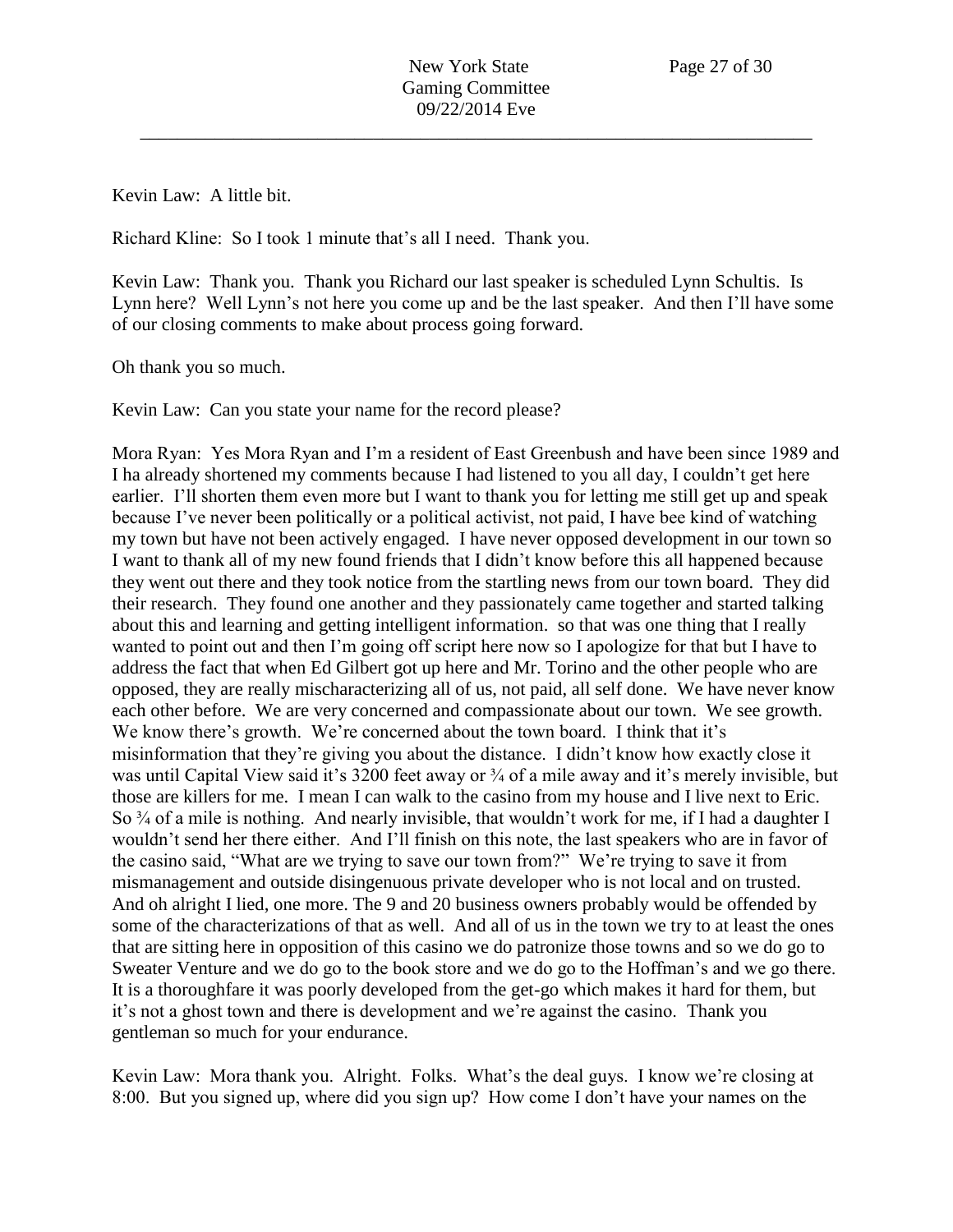Kevin Law: A little bit.

Richard Kline: So I took 1 minute that's all I need. Thank you.

Kevin Law: Thank you. Thank you Richard our last speaker is scheduled Lynn Schultis. Is Lynn here? Well Lynn's not here you come up and be the last speaker. And then I'll have some of our closing comments to make about process going forward.

Oh thank you so much.

Kevin Law: Can you state your name for the record please?

Mora Ryan: Yes Mora Ryan and I'm a resident of East Greenbush and have been since 1989 and I ha already shortened my comments because I had listened to you all day, I couldn't get here earlier. I'll shorten them even more but I want to thank you for letting me still get up and speak because I've never been politically or a political activist, not paid, I have bee kind of watching my town but have not been actively engaged. I have never opposed development in our town so I want to thank all of my new found friends that I didn't know before this all happened because they went out there and they took notice from the startling news from our town board. They did their research. They found one another and they passionately came together and started talking about this and learning and getting intelligent information. so that was one thing that I really wanted to point out and then I'm going off script here now so I apologize for that but I have to address the fact that when Ed Gilbert got up here and Mr. Torino and the other people who are opposed, they are really mischaracterizing all of us, not paid, all self done. We have never know each other before. We are very concerned and compassionate about our town. We see growth. We know there's growth. We're concerned about the town board. I think that it's misinformation that they're giving you about the distance. I didn't know how exactly close it was until Capital View said it's 3200 feet away or  $\frac{3}{4}$  of a mile away and it's merely invisible, but those are killers for me. I mean I can walk to the casino from my house and I live next to Eric. So <sup>3</sup>/<sub>4</sub> of a mile is nothing. And nearly invisible, that wouldn't work for me, if I had a daughter I wouldn't send her there either. And I'll finish on this note, the last speakers who are in favor of the casino said, "What are we trying to save our town from?" We're trying to save it from mismanagement and outside disingenuous private developer who is not local and on trusted. And oh alright I lied, one more. The 9 and 20 business owners probably would be offended by some of the characterizations of that as well. And all of us in the town we try to at least the ones that are sitting here in opposition of this casino we do patronize those towns and so we do go to Sweater Venture and we do go to the book store and we do go to the Hoffman's and we go there. It is a thoroughfare it was poorly developed from the get-go which makes it hard for them, but it's not a ghost town and there is development and we're against the casino. Thank you gentleman so much for your endurance.

Kevin Law: Mora thank you. Alright. Folks. What's the deal guys. I know we're closing at 8:00. But you signed up, where did you sign up? How come I don't have your names on the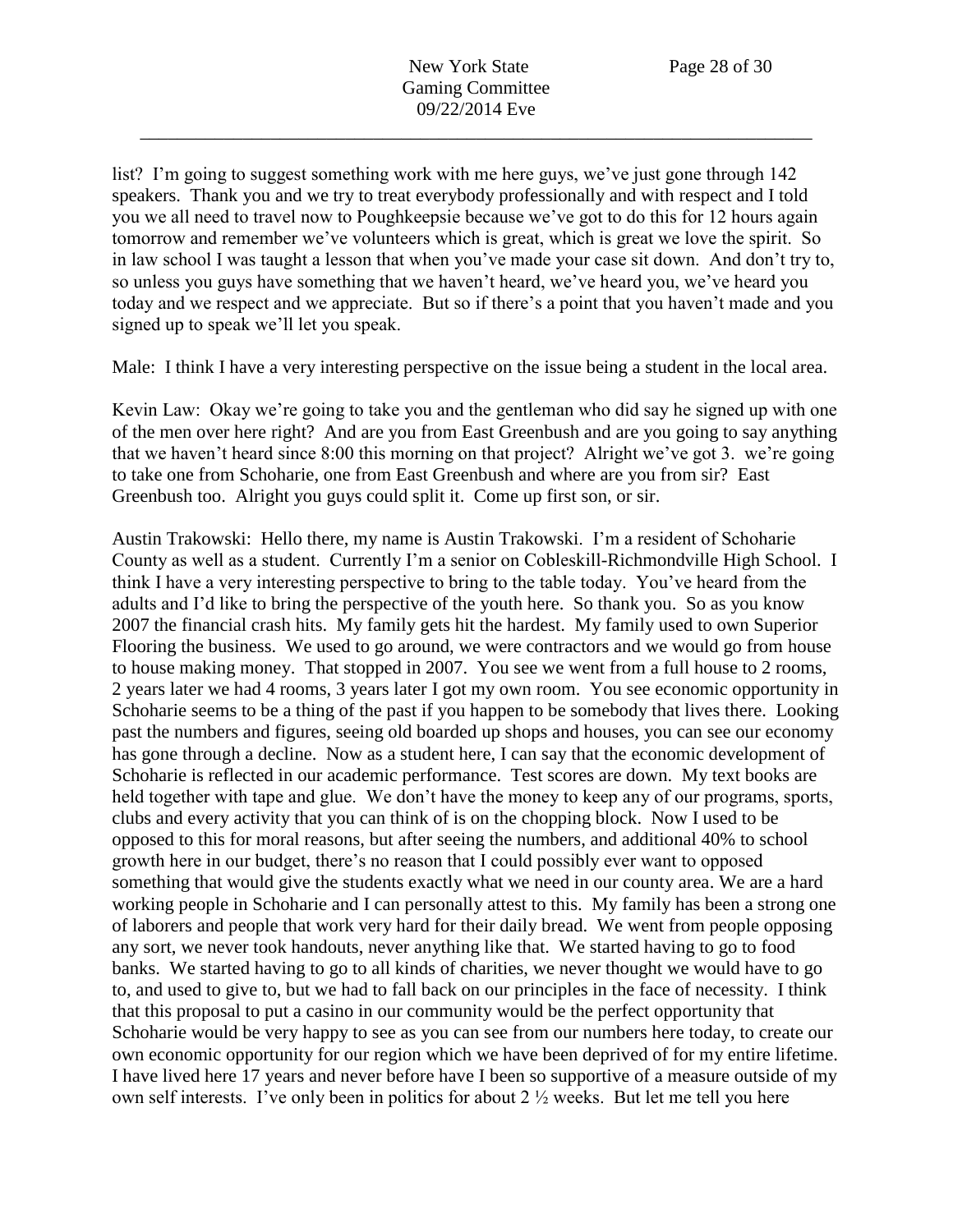list? I'm going to suggest something work with me here guys, we've just gone through 142 speakers. Thank you and we try to treat everybody professionally and with respect and I told you we all need to travel now to Poughkeepsie because we've got to do this for 12 hours again tomorrow and remember we've volunteers which is great, which is great we love the spirit. So in law school I was taught a lesson that when you've made your case sit down. And don't try to, so unless you guys have something that we haven't heard, we've heard you, we've heard you today and we respect and we appreciate. But so if there's a point that you haven't made and you signed up to speak we'll let you speak.

Male: I think I have a very interesting perspective on the issue being a student in the local area.

Kevin Law: Okay we're going to take you and the gentleman who did say he signed up with one of the men over here right? And are you from East Greenbush and are you going to say anything that we haven't heard since 8:00 this morning on that project? Alright we've got 3. we're going to take one from Schoharie, one from East Greenbush and where are you from sir? East Greenbush too. Alright you guys could split it. Come up first son, or sir.

Austin Trakowski: Hello there, my name is Austin Trakowski. I'm a resident of Schoharie County as well as a student. Currently I'm a senior on Cobleskill-Richmondville High School. I think I have a very interesting perspective to bring to the table today. You've heard from the adults and I'd like to bring the perspective of the youth here. So thank you. So as you know 2007 the financial crash hits. My family gets hit the hardest. My family used to own Superior Flooring the business. We used to go around, we were contractors and we would go from house to house making money. That stopped in 2007. You see we went from a full house to 2 rooms, 2 years later we had 4 rooms, 3 years later I got my own room. You see economic opportunity in Schoharie seems to be a thing of the past if you happen to be somebody that lives there. Looking past the numbers and figures, seeing old boarded up shops and houses, you can see our economy has gone through a decline. Now as a student here, I can say that the economic development of Schoharie is reflected in our academic performance. Test scores are down. My text books are held together with tape and glue. We don't have the money to keep any of our programs, sports, clubs and every activity that you can think of is on the chopping block. Now I used to be opposed to this for moral reasons, but after seeing the numbers, and additional 40% to school growth here in our budget, there's no reason that I could possibly ever want to opposed something that would give the students exactly what we need in our county area. We are a hard working people in Schoharie and I can personally attest to this. My family has been a strong one of laborers and people that work very hard for their daily bread. We went from people opposing any sort, we never took handouts, never anything like that. We started having to go to food banks. We started having to go to all kinds of charities, we never thought we would have to go to, and used to give to, but we had to fall back on our principles in the face of necessity. I think that this proposal to put a casino in our community would be the perfect opportunity that Schoharie would be very happy to see as you can see from our numbers here today, to create our own economic opportunity for our region which we have been deprived of for my entire lifetime. I have lived here 17 years and never before have I been so supportive of a measure outside of my own self interests. I've only been in politics for about 2 ½ weeks. But let me tell you here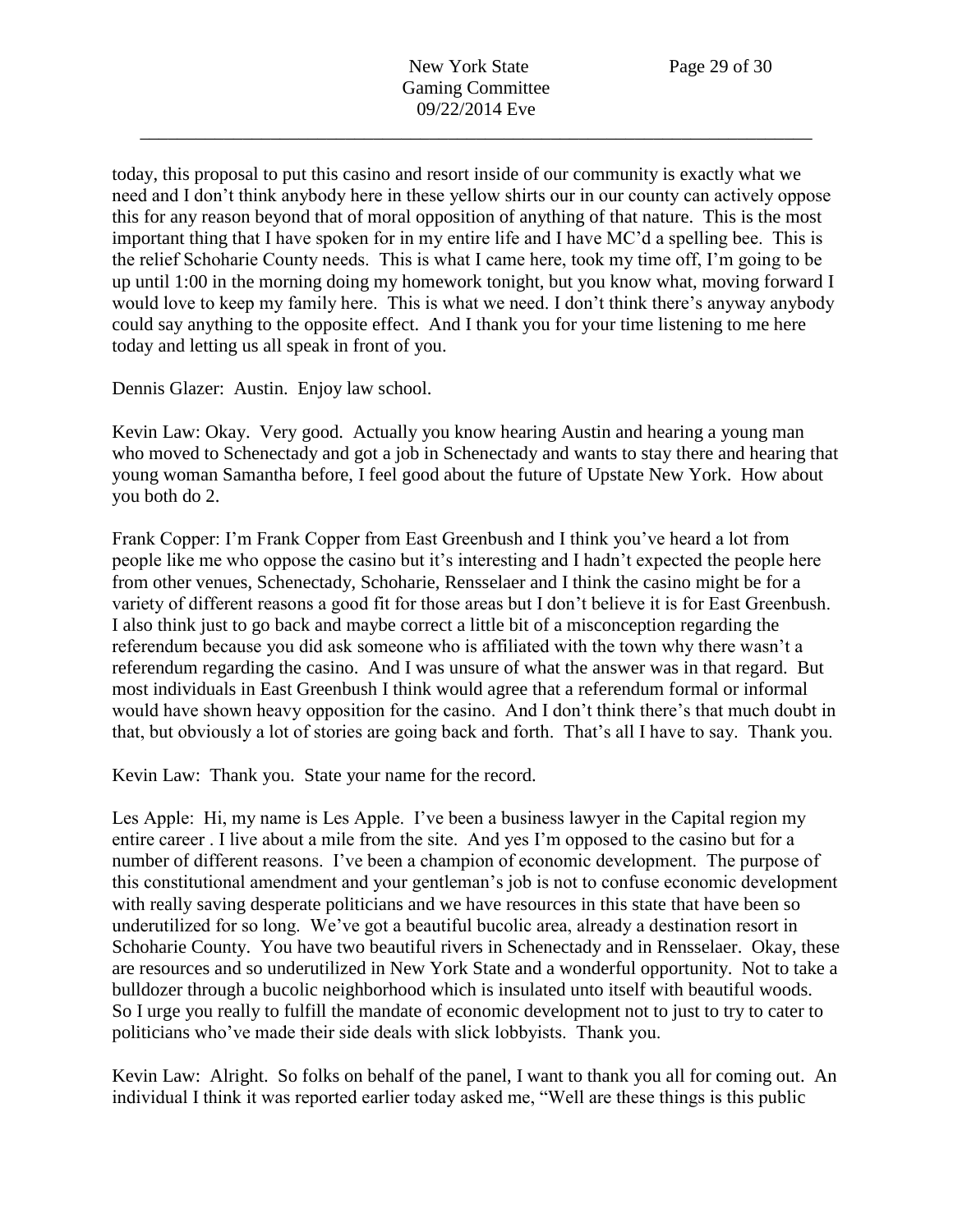today, this proposal to put this casino and resort inside of our community is exactly what we need and I don't think anybody here in these yellow shirts our in our county can actively oppose this for any reason beyond that of moral opposition of anything of that nature. This is the most important thing that I have spoken for in my entire life and I have MC'd a spelling bee. This is the relief Schoharie County needs. This is what I came here, took my time off, I'm going to be up until 1:00 in the morning doing my homework tonight, but you know what, moving forward I would love to keep my family here. This is what we need. I don't think there's anyway anybody could say anything to the opposite effect. And I thank you for your time listening to me here today and letting us all speak in front of you.

Dennis Glazer: Austin. Enjoy law school.

Kevin Law: Okay. Very good. Actually you know hearing Austin and hearing a young man who moved to Schenectady and got a job in Schenectady and wants to stay there and hearing that young woman Samantha before, I feel good about the future of Upstate New York. How about you both do 2.

Frank Copper: I'm Frank Copper from East Greenbush and I think you've heard a lot from people like me who oppose the casino but it's interesting and I hadn't expected the people here from other venues, Schenectady, Schoharie, Rensselaer and I think the casino might be for a variety of different reasons a good fit for those areas but I don't believe it is for East Greenbush. I also think just to go back and maybe correct a little bit of a misconception regarding the referendum because you did ask someone who is affiliated with the town why there wasn't a referendum regarding the casino. And I was unsure of what the answer was in that regard. But most individuals in East Greenbush I think would agree that a referendum formal or informal would have shown heavy opposition for the casino. And I don't think there's that much doubt in that, but obviously a lot of stories are going back and forth. That's all I have to say. Thank you.

Kevin Law: Thank you. State your name for the record.

Les Apple: Hi, my name is Les Apple. I've been a business lawyer in the Capital region my entire career . I live about a mile from the site. And yes I'm opposed to the casino but for a number of different reasons. I've been a champion of economic development. The purpose of this constitutional amendment and your gentleman's job is not to confuse economic development with really saving desperate politicians and we have resources in this state that have been so underutilized for so long. We've got a beautiful bucolic area, already a destination resort in Schoharie County. You have two beautiful rivers in Schenectady and in Rensselaer. Okay, these are resources and so underutilized in New York State and a wonderful opportunity. Not to take a bulldozer through a bucolic neighborhood which is insulated unto itself with beautiful woods. So I urge you really to fulfill the mandate of economic development not to just to try to cater to politicians who've made their side deals with slick lobbyists. Thank you.

Kevin Law: Alright. So folks on behalf of the panel, I want to thank you all for coming out. An individual I think it was reported earlier today asked me, "Well are these things is this public